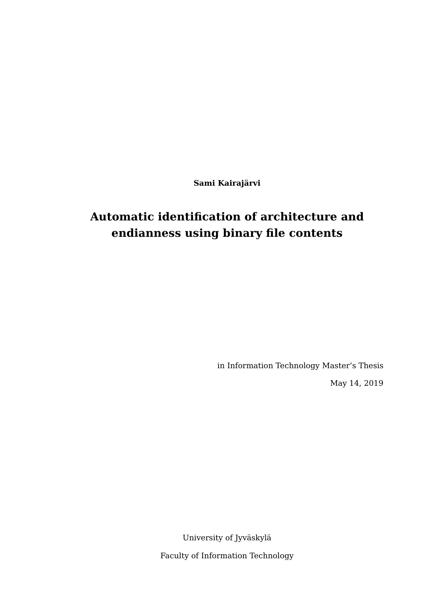**Sami Kairajärvi**

# **Automatic identification of architecture and endianness using binary file contents**

in Information Technology Master's Thesis

May 14, 2019

University of Jyväskylä Faculty of Information Technology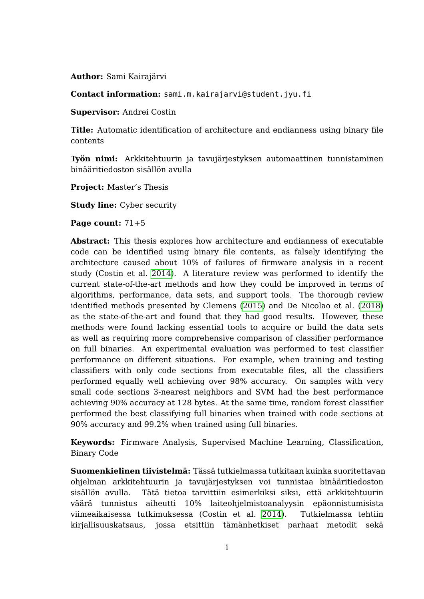**Author:** Sami Kairajärvi

**Contact information:** sami.m.kairajarvi@student.jyu.fi

**Supervisor:** Andrei Costin

**Title:** Automatic identification of architecture and endianness using binary file contents

**Työn nimi:** Arkkitehtuurin ja tavujärjestyksen automaattinen tunnistaminen binääritiedoston sisällön avulla

**Project:** Master's Thesis

**Study line:** Cyber security

**Page count:** 71+5

**Abstract:** This thesis explores how architecture and endianness of executable code can be identified using binary file contents, as falsely identifying the architecture caused about 10% of failures of firmware analysis in a recent study (Costin et al. [2014\)](#page-63-0). A literature review was performed to identify the current state-of-the-art methods and how they could be improved in terms of algorithms, performance, data sets, and support tools. The thorough review identified methods presented by Clemens [\(2015\)](#page-63-1) and De Nicolao et al. [\(2018\)](#page-63-2) as the state-of-the-art and found that they had good results. However, these methods were found lacking essential tools to acquire or build the data sets as well as requiring more comprehensive comparison of classifier performance on full binaries. An experimental evaluation was performed to test classifier performance on different situations. For example, when training and testing classifiers with only code sections from executable files, all the classifiers performed equally well achieving over 98% accuracy. On samples with very small code sections 3-nearest neighbors and SVM had the best performance achieving 90% accuracy at 128 bytes. At the same time, random forest classifier performed the best classifying full binaries when trained with code sections at 90% accuracy and 99.2% when trained using full binaries.

**Keywords:** Firmware Analysis, Supervised Machine Learning, Classification, Binary Code

**Suomenkielinen tiivistelmä:** Tässä tutkielmassa tutkitaan kuinka suoritettavan ohjelman arkkitehtuurin ja tavujärjestyksen voi tunnistaa binääritiedoston sisällön avulla. Tätä tietoa tarvittiin esimerkiksi siksi, että arkkitehtuurin väärä tunnistus aiheutti 10% laiteohjelmistoanalyysin epäonnistumisista viimeaikaisessa tutkimuksessa (Costin et al. [2014\)](#page-63-0). Tutkielmassa tehtiin kirjallisuuskatsaus, jossa etsittiin tämänhetkiset parhaat metodit sekä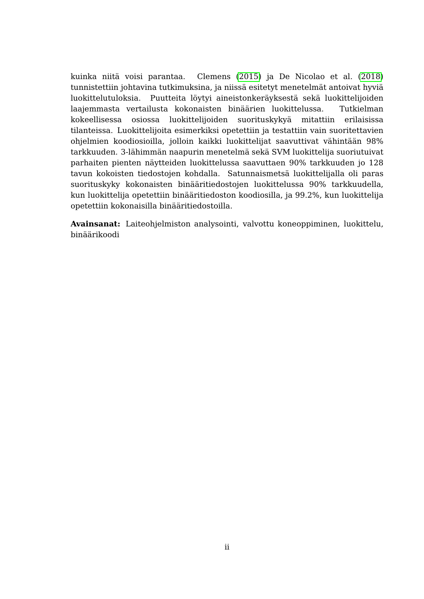kuinka niitä voisi parantaa. Clemens [\(2015\)](#page-63-1) ja De Nicolao et al. [\(2018\)](#page-63-2) tunnistettiin johtavina tutkimuksina, ja niissä esitetyt menetelmät antoivat hyviä luokittelutuloksia. Puutteita löytyi aineistonkeräyksestä sekä luokittelijoiden laajemmasta vertailusta kokonaisten binäärien luokittelussa. Tutkielman kokeellisessa osiossa luokittelijoiden suorituskykyä mitattiin erilaisissa tilanteissa. Luokittelijoita esimerkiksi opetettiin ja testattiin vain suoritettavien ohjelmien koodiosioilla, jolloin kaikki luokittelijat saavuttivat vähintään 98% tarkkuuden. 3-lähimmän naapurin menetelmä sekä SVM luokittelija suoriutuivat parhaiten pienten näytteiden luokittelussa saavuttaen 90% tarkkuuden jo 128 tavun kokoisten tiedostojen kohdalla. Satunnaismetsä luokittelijalla oli paras suorituskyky kokonaisten binääritiedostojen luokittelussa 90% tarkkuudella, kun luokittelija opetettiin binääritiedoston koodiosilla, ja 99.2%, kun luokittelija opetettiin kokonaisilla binääritiedostoilla.

**Avainsanat:** Laiteohjelmiston analysointi, valvottu koneoppiminen, luokittelu, binäärikoodi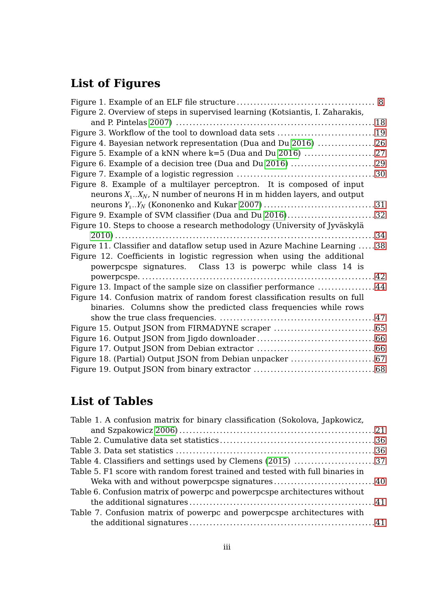# **List of Figures**

| Figure 2. Overview of steps in supervised learning (Kotsiantis, I. Zaharakis, |  |
|-------------------------------------------------------------------------------|--|
|                                                                               |  |
| Figure 3. Workflow of the tool to download data sets 19                       |  |
| Figure 4. Bayesian network representation (Dua and Du 2016) 26                |  |
|                                                                               |  |
| Figure 6. Example of a decision tree (Dua and Du 2016) 29                     |  |
|                                                                               |  |
| Figure 8. Example of a multilayer perceptron. It is composed of input         |  |
| neurons $X_1$ $X_N$ , N number of neurons H in m hidden layers, and output    |  |
|                                                                               |  |
| Figure 9. Example of SVM classifier (Dua and Du 2016)32                       |  |
| Figure 10. Steps to choose a research methodology (University of Jyväskylä    |  |
|                                                                               |  |
| Figure 11. Classifier and dataflow setup used in Azure Machine Learning 38    |  |
| Figure 12. Coefficients in logistic regression when using the additional      |  |
| powerpcspe signatures. Class 13 is powerpc while class 14 is                  |  |
|                                                                               |  |
| Figure 13. Impact of the sample size on classifier performance 44             |  |
| Figure 14. Confusion matrix of random forest classification results on full   |  |
| binaries. Columns show the predicted class frequencies while rows             |  |
|                                                                               |  |
|                                                                               |  |
|                                                                               |  |
|                                                                               |  |
| Figure 18. (Partial) Output JSON from Debian unpacker 67                      |  |
|                                                                               |  |
|                                                                               |  |

## **List of Tables**

| Table 1. A confusion matrix for binary classification (Sokolova, Japkowicz,   |  |
|-------------------------------------------------------------------------------|--|
|                                                                               |  |
|                                                                               |  |
|                                                                               |  |
| Table 4. Classifiers and settings used by Clemens (2015) 37                   |  |
| Table 5. F1 score with random forest trained and tested with full binaries in |  |
| Weka with and without powerpcspe signatures40                                 |  |
| Table 6. Confusion matrix of powerpc and powerpcspe architectures without     |  |
|                                                                               |  |
| Table 7. Confusion matrix of powerpc and powerpcspe architectures with        |  |
|                                                                               |  |
|                                                                               |  |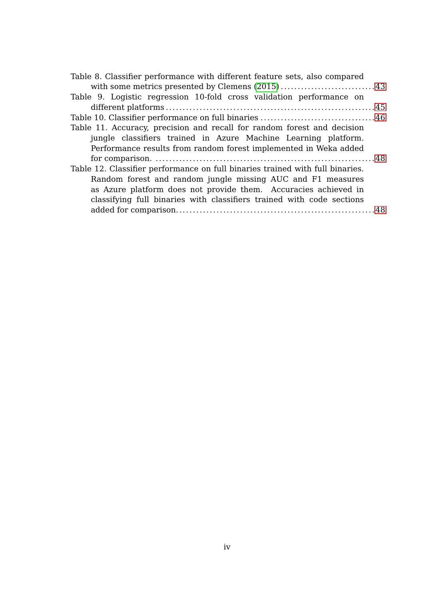| Table 8. Classifier performance with different feature sets, also compared    |  |
|-------------------------------------------------------------------------------|--|
|                                                                               |  |
| Table 9. Logistic regression 10-fold cross validation performance on          |  |
|                                                                               |  |
|                                                                               |  |
| Table 11. Accuracy, precision and recall for random forest and decision       |  |
| jungle classifiers trained in Azure Machine Learning platform.                |  |
| Performance results from random forest implemented in Weka added              |  |
|                                                                               |  |
| Table 12. Classifier performance on full binaries trained with full binaries. |  |
| Random forest and random jungle missing AUC and F1 measures                   |  |
| as Azure platform does not provide them. Accuracies achieved in               |  |
| classifying full binaries with classifiers trained with code sections         |  |
|                                                                               |  |
|                                                                               |  |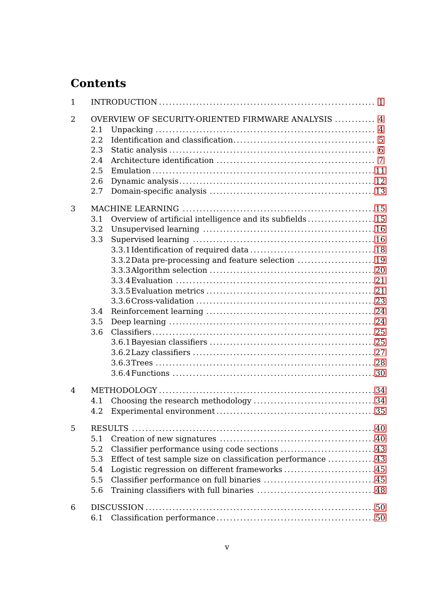# **Contents**

| 1              |            |                                                             |  |
|----------------|------------|-------------------------------------------------------------|--|
| $\overline{2}$ | 2.1        | OVERVIEW OF SECURITY-ORIENTED FIRMWARE ANALYSIS  4          |  |
|                | 2.2<br>2.3 |                                                             |  |
|                | 2.4        |                                                             |  |
|                | 2.5        |                                                             |  |
|                | 2.6        |                                                             |  |
|                | 2.7        |                                                             |  |
| 3              |            |                                                             |  |
|                | 3.1        | Overview of artificial intelligence and its subfields15     |  |
|                | 3.2        |                                                             |  |
|                | 3.3        |                                                             |  |
|                |            | 3.3.2 Data pre-processing and feature selection 19          |  |
|                |            |                                                             |  |
|                |            |                                                             |  |
|                |            |                                                             |  |
|                |            |                                                             |  |
|                | 3.4        |                                                             |  |
|                | 3.5        |                                                             |  |
|                | 3.6        |                                                             |  |
|                |            |                                                             |  |
|                |            |                                                             |  |
|                |            |                                                             |  |
|                |            |                                                             |  |
| 4              |            |                                                             |  |
|                | 4.1        |                                                             |  |
|                | 4.2        |                                                             |  |
| 5              |            | RESULTS                                                     |  |
|                | 5.1        |                                                             |  |
|                | 5.2        | Classifier performance using code sections 43               |  |
|                | 5.3        | Effect of test sample size on classification performance 43 |  |
|                | 5.4        | Logistic regression on different frameworks45               |  |
|                | 5.5        |                                                             |  |
|                | 5.6        |                                                             |  |
| 6              |            |                                                             |  |
|                | 6.1        |                                                             |  |
|                |            |                                                             |  |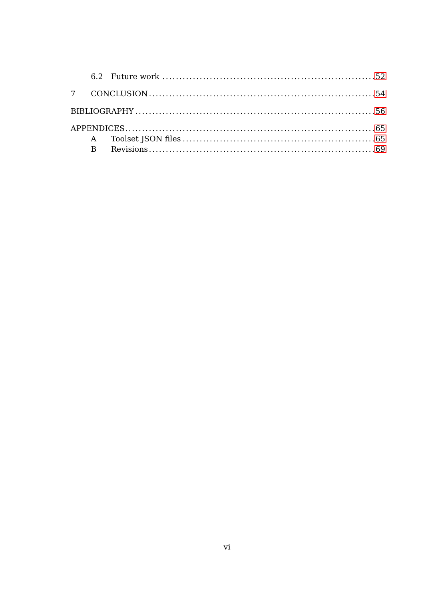| $\overline{B}$ |  |
|----------------|--|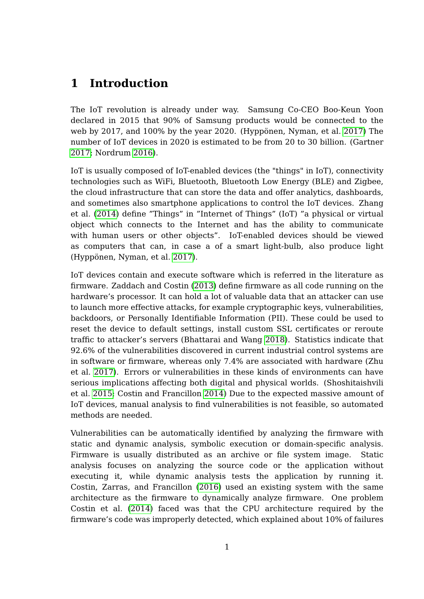## <span id="page-7-0"></span>**1 Introduction**

The IoT revolution is already under way. Samsung Co-CEO Boo-Keun Yoon declared in 2015 that 90% of Samsung products would be connected to the web by 2017, and 100% by the year 2020. (Hyppönen, Nyman, et al. [2017\)](#page-65-0) The number of IoT devices in 2020 is estimated to be from 20 to 30 billion. (Gartner [2017;](#page-64-1) Nordrum [2016\)](#page-67-0).

IoT is usually composed of IoT-enabled devices (the "things" in IoT), connectivity technologies such as WiFi, Bluetooth, Bluetooth Low Energy (BLE) and Zigbee, the cloud infrastructure that can store the data and offer analytics, dashboards, and sometimes also smartphone applications to control the IoT devices. Zhang et al. [\(2014\)](#page-70-0) define "Things" in "Internet of Things" (IoT) "a physical or virtual object which connects to the Internet and has the ability to communicate with human users or other objects". IoT-enabled devices should be viewed as computers that can, in case a of a smart light-bulb, also produce light (Hyppönen, Nyman, et al. [2017\)](#page-65-0).

IoT devices contain and execute software which is referred in the literature as firmware. Zaddach and Costin [\(2013\)](#page-70-1) define firmware as all code running on the hardware's processor. It can hold a lot of valuable data that an attacker can use to launch more effective attacks, for example cryptographic keys, vulnerabilities, backdoors, or Personally Identifiable Information (PII). These could be used to reset the device to default settings, install custom SSL certificates or reroute traffic to attacker's servers (Bhattarai and Wang [2018\)](#page-62-1). Statistics indicate that 92.6% of the vulnerabilities discovered in current industrial control systems are in software or firmware, whereas only 7.4% are associated with hardware (Zhu et al. [2017\)](#page-70-2). Errors or vulnerabilities in these kinds of environments can have serious implications affecting both digital and physical worlds. (Shoshitaishvili et al. [2015;](#page-68-0) Costin and Francillon [2014\)](#page-63-3) Due to the expected massive amount of IoT devices, manual analysis to find vulnerabilities is not feasible, so automated methods are needed.

Vulnerabilities can be automatically identified by analyzing the firmware with static and dynamic analysis, symbolic execution or domain-specific analysis. Firmware is usually distributed as an archive or file system image. Static analysis focuses on analyzing the source code or the application without executing it, while dynamic analysis tests the application by running it. Costin, Zarras, and Francillon [\(2016\)](#page-63-4) used an existing system with the same architecture as the firmware to dynamically analyze firmware. One problem Costin et al. [\(2014\)](#page-63-0) faced was that the CPU architecture required by the firmware's code was improperly detected, which explained about 10% of failures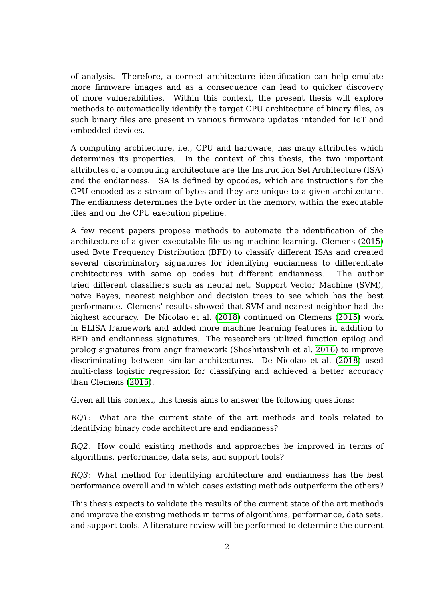of analysis. Therefore, a correct architecture identification can help emulate more firmware images and as a consequence can lead to quicker discovery of more vulnerabilities. Within this context, the present thesis will explore methods to automatically identify the target CPU architecture of binary files, as such binary files are present in various firmware updates intended for IoT and embedded devices.

A computing architecture, i.e., CPU and hardware, has many attributes which determines its properties. In the context of this thesis, the two important attributes of a computing architecture are the Instruction Set Architecture (ISA) and the endianness. ISA is defined by opcodes, which are instructions for the CPU encoded as a stream of bytes and they are unique to a given architecture. The endianness determines the byte order in the memory, within the executable files and on the CPU execution pipeline.

A few recent papers propose methods to automate the identification of the architecture of a given executable file using machine learning. Clemens [\(2015\)](#page-63-1) used Byte Frequency Distribution (BFD) to classify different ISAs and created several discriminatory signatures for identifying endianness to differentiate architectures with same op codes but different endianness. The author tried different classifiers such as neural net, Support Vector Machine (SVM), naive Bayes, nearest neighbor and decision trees to see which has the best performance. Clemens' results showed that SVM and nearest neighbor had the highest accuracy. De Nicolao et al. [\(2018\)](#page-63-2) continued on Clemens [\(2015\)](#page-63-1) work in ELISA framework and added more machine learning features in addition to BFD and endianness signatures. The researchers utilized function epilog and prolog signatures from angr framework (Shoshitaishvili et al. [2016\)](#page-68-1) to improve discriminating between similar architectures. De Nicolao et al. [\(2018\)](#page-63-2) used multi-class logistic regression for classifying and achieved a better accuracy than Clemens [\(2015\)](#page-63-1).

Given all this context, this thesis aims to answer the following questions:

RQ1: What are the current state of the art methods and tools related to identifying binary code architecture and endianness?

RQ2: How could existing methods and approaches be improved in terms of algorithms, performance, data sets, and support tools?

RQ3: What method for identifying architecture and endianness has the best performance overall and in which cases existing methods outperform the others?

This thesis expects to validate the results of the current state of the art methods and improve the existing methods in terms of algorithms, performance, data sets, and support tools. A literature review will be performed to determine the current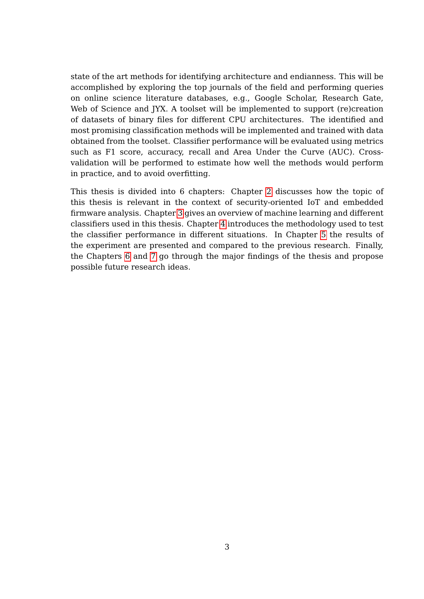state of the art methods for identifying architecture and endianness. This will be accomplished by exploring the top journals of the field and performing queries on online science literature databases, e.g., Google Scholar, Research Gate, Web of Science and JYX. A toolset will be implemented to support (re)creation of datasets of binary files for different CPU architectures. The identified and most promising classification methods will be implemented and trained with data obtained from the toolset. Classifier performance will be evaluated using metrics such as F1 score, accuracy, recall and Area Under the Curve (AUC). Crossvalidation will be performed to estimate how well the methods would perform in practice, and to avoid overfitting.

This thesis is divided into 6 chapters: Chapter [2](#page-10-0) discusses how the topic of this thesis is relevant in the context of security-oriented IoT and embedded firmware analysis. Chapter [3](#page-21-0) gives an overview of machine learning and different classifiers used in this thesis. Chapter [4](#page-40-1) introduces the methodology used to test the classifier performance in different situations. In Chapter [5](#page-46-1) the results of the experiment are presented and compared to the previous research. Finally, the Chapters [6](#page-56-0) and [7](#page-60-0) go through the major findings of the thesis and propose possible future research ideas.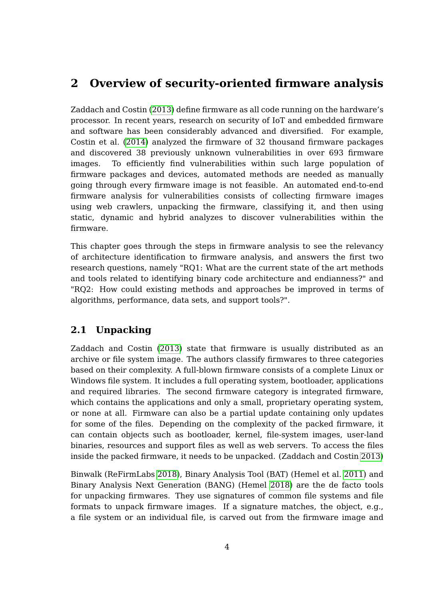## <span id="page-10-0"></span>**2 Overview of security-oriented firmware analysis**

Zaddach and Costin [\(2013\)](#page-70-1) define firmware as all code running on the hardware's processor. In recent years, research on security of IoT and embedded firmware and software has been considerably advanced and diversified. For example, Costin et al. [\(2014\)](#page-63-0) analyzed the firmware of 32 thousand firmware packages and discovered 38 previously unknown vulnerabilities in over 693 firmware images. To efficiently find vulnerabilities within such large population of firmware packages and devices, automated methods are needed as manually going through every firmware image is not feasible. An automated end-to-end firmware analysis for vulnerabilities consists of collecting firmware images using web crawlers, unpacking the firmware, classifying it, and then using static, dynamic and hybrid analyzes to discover vulnerabilities within the firmware.

This chapter goes through the steps in firmware analysis to see the relevancy of architecture identification to firmware analysis, and answers the first two research questions, namely "RQ1: What are the current state of the art methods and tools related to identifying binary code architecture and endianness?" and "RQ2: How could existing methods and approaches be improved in terms of algorithms, performance, data sets, and support tools?".

## <span id="page-10-1"></span>**2.1 Unpacking**

Zaddach and Costin [\(2013\)](#page-70-1) state that firmware is usually distributed as an archive or file system image. The authors classify firmwares to three categories based on their complexity. A full-blown firmware consists of a complete Linux or Windows file system. It includes a full operating system, bootloader, applications and required libraries. The second firmware category is integrated firmware, which contains the applications and only a small, proprietary operating system, or none at all. Firmware can also be a partial update containing only updates for some of the files. Depending on the complexity of the packed firmware, it can contain objects such as bootloader, kernel, file-system images, user-land binaries, resources and support files as well as web servers. To access the files inside the packed firmware, it needs to be unpacked. (Zaddach and Costin [2013\)](#page-70-1)

Binwalk (ReFirmLabs [2018\)](#page-67-1), Binary Analysis Tool (BAT) (Hemel et al. [2011\)](#page-65-1) and Binary Analysis Next Generation (BANG) (Hemel [2018\)](#page-65-2) are the de facto tools for unpacking firmwares. They use signatures of common file systems and file formats to unpack firmware images. If a signature matches, the object, e.g., a file system or an individual file, is carved out from the firmware image and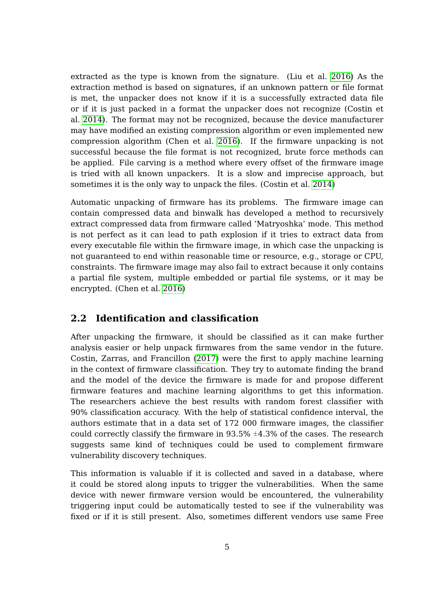extracted as the type is known from the signature. (Liu et al. [2016\)](#page-66-2) As the extraction method is based on signatures, if an unknown pattern or file format is met, the unpacker does not know if it is a successfully extracted data file or if it is just packed in a format the unpacker does not recognize (Costin et al. [2014\)](#page-63-0). The format may not be recognized, because the device manufacturer may have modified an existing compression algorithm or even implemented new compression algorithm (Chen et al. [2016\)](#page-63-5). If the firmware unpacking is not successful because the file format is not recognized, brute force methods can be applied. File carving is a method where every offset of the firmware image is tried with all known unpackers. It is a slow and imprecise approach, but sometimes it is the only way to unpack the files. (Costin et al. [2014\)](#page-63-0)

Automatic unpacking of firmware has its problems. The firmware image can contain compressed data and binwalk has developed a method to recursively extract compressed data from firmware called 'Matryoshka' mode. This method is not perfect as it can lead to path explosion if it tries to extract data from every executable file within the firmware image, in which case the unpacking is not guaranteed to end within reasonable time or resource, e.g., storage or CPU, constraints. The firmware image may also fail to extract because it only contains a partial file system, multiple embedded or partial file systems, or it may be encrypted. (Chen et al. [2016\)](#page-63-5)

## <span id="page-11-0"></span>**2.2 Identification and classification**

After unpacking the firmware, it should be classified as it can make further analysis easier or help unpack firmwares from the same vendor in the future. Costin, Zarras, and Francillon [\(2017\)](#page-63-6) were the first to apply machine learning in the context of firmware classification. They try to automate finding the brand and the model of the device the firmware is made for and propose different firmware features and machine learning algorithms to get this information. The researchers achieve the best results with random forest classifier with 90% classification accuracy. With the help of statistical confidence interval, the authors estimate that in a data set of 172 000 firmware images, the classifier could correctly classify the firmware in  $93.5\% \pm 4.3\%$  of the cases. The research suggests same kind of techniques could be used to complement firmware vulnerability discovery techniques.

This information is valuable if it is collected and saved in a database, where it could be stored along inputs to trigger the vulnerabilities. When the same device with newer firmware version would be encountered, the vulnerability triggering input could be automatically tested to see if the vulnerability was fixed or if it is still present. Also, sometimes different vendors use same Free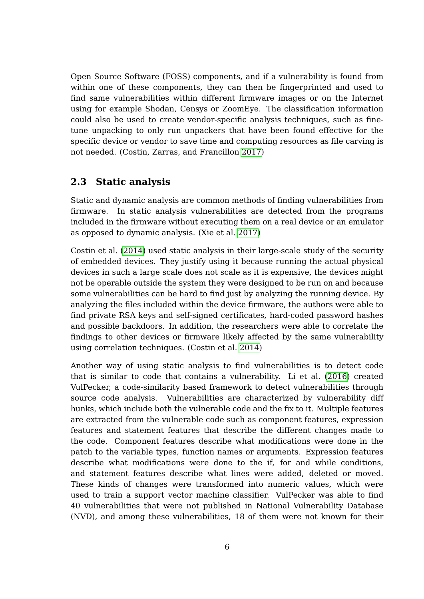Open Source Software (FOSS) components, and if a vulnerability is found from within one of these components, they can then be fingerprinted and used to find same vulnerabilities within different firmware images or on the Internet using for example Shodan, Censys or ZoomEye. The classification information could also be used to create vendor-specific analysis techniques, such as finetune unpacking to only run unpackers that have been found effective for the specific device or vendor to save time and computing resources as file carving is not needed. (Costin, Zarras, and Francillon [2017\)](#page-63-6)

### <span id="page-12-0"></span>**2.3 Static analysis**

Static and dynamic analysis are common methods of finding vulnerabilities from firmware. In static analysis vulnerabilities are detected from the programs included in the firmware without executing them on a real device or an emulator as opposed to dynamic analysis. (Xie et al. [2017\)](#page-70-3)

Costin et al. [\(2014\)](#page-63-0) used static analysis in their large-scale study of the security of embedded devices. They justify using it because running the actual physical devices in such a large scale does not scale as it is expensive, the devices might not be operable outside the system they were designed to be run on and because some vulnerabilities can be hard to find just by analyzing the running device. By analyzing the files included within the device firmware, the authors were able to find private RSA keys and self-signed certificates, hard-coded password hashes and possible backdoors. In addition, the researchers were able to correlate the findings to other devices or firmware likely affected by the same vulnerability using correlation techniques. (Costin et al. [2014\)](#page-63-0)

Another way of using static analysis to find vulnerabilities is to detect code that is similar to code that contains a vulnerability. Li et al. [\(2016\)](#page-66-3) created VulPecker, a code-similarity based framework to detect vulnerabilities through source code analysis. Vulnerabilities are characterized by vulnerability diff hunks, which include both the vulnerable code and the fix to it. Multiple features are extracted from the vulnerable code such as component features, expression features and statement features that describe the different changes made to the code. Component features describe what modifications were done in the patch to the variable types, function names or arguments. Expression features describe what modifications were done to the if, for and while conditions, and statement features describe what lines were added, deleted or moved. These kinds of changes were transformed into numeric values, which were used to train a support vector machine classifier. VulPecker was able to find 40 vulnerabilities that were not published in National Vulnerability Database (NVD), and among these vulnerabilities, 18 of them were not known for their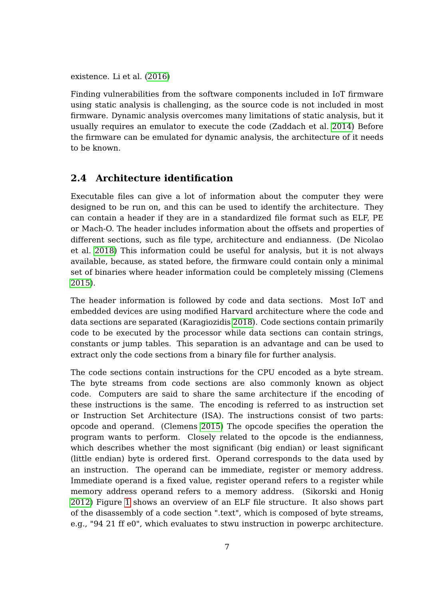existence. Li et al. [\(2016\)](#page-66-3)

Finding vulnerabilities from the software components included in IoT firmware using static analysis is challenging, as the source code is not included in most firmware. Dynamic analysis overcomes many limitations of static analysis, but it usually requires an emulator to execute the code (Zaddach et al. [2014\)](#page-70-4) Before the firmware can be emulated for dynamic analysis, the architecture of it needs to be known.

## <span id="page-13-0"></span>**2.4 Architecture identification**

Executable files can give a lot of information about the computer they were designed to be run on, and this can be used to identify the architecture. They can contain a header if they are in a standardized file format such as ELF, PE or Mach-O. The header includes information about the offsets and properties of different sections, such as file type, architecture and endianness. (De Nicolao et al. [2018\)](#page-63-2) This information could be useful for analysis, but it is not always available, because, as stated before, the firmware could contain only a minimal set of binaries where header information could be completely missing (Clemens [2015\)](#page-63-1).

The header information is followed by code and data sections. Most IoT and embedded devices are using modified Harvard architecture where the code and data sections are separated (Karagiozidis [2018\)](#page-65-3). Code sections contain primarily code to be executed by the processor while data sections can contain strings, constants or jump tables. This separation is an advantage and can be used to extract only the code sections from a binary file for further analysis.

The code sections contain instructions for the CPU encoded as a byte stream. The byte streams from code sections are also commonly known as object code. Computers are said to share the same architecture if the encoding of these instructions is the same. The encoding is referred to as instruction set or Instruction Set Architecture (ISA). The instructions consist of two parts: opcode and operand. (Clemens [2015\)](#page-63-1) The opcode specifies the operation the program wants to perform. Closely related to the opcode is the endianness, which describes whether the most significant (big endian) or least significant (little endian) byte is ordered first. Operand corresponds to the data used by an instruction. The operand can be immediate, register or memory address. Immediate operand is a fixed value, register operand refers to a register while memory address operand refers to a memory address. (Sikorski and Honig [2012\)](#page-69-2) Figure [1](#page-14-0) shows an overview of an ELF file structure. It also shows part of the disassembly of a code section ".text", which is composed of byte streams, e.g., "94 21 ff e0", which evaluates to stwu instruction in powerpc architecture.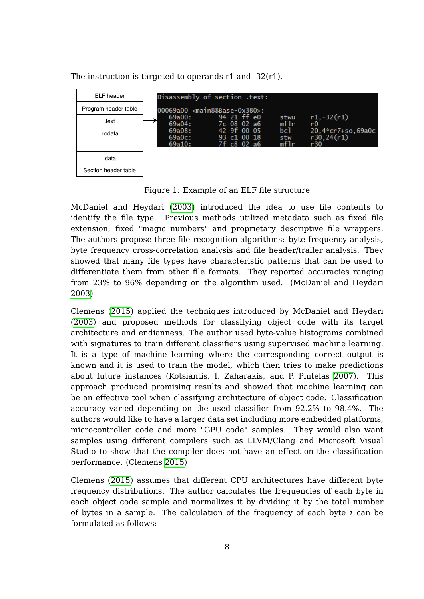

The instruction is targeted to operands r1 and -32(r1).

<span id="page-14-0"></span>Figure 1: Example of an ELF file structure

McDaniel and Heydari [\(2003\)](#page-67-2) introduced the idea to use file contents to identify the file type. Previous methods utilized metadata such as fixed file extension, fixed "magic numbers" and proprietary descriptive file wrappers. The authors propose three file recognition algorithms: byte frequency analysis, byte frequency cross-correlation analysis and file header/trailer analysis. They showed that many file types have characteristic patterns that can be used to differentiate them from other file formats. They reported accuracies ranging from 23% to 96% depending on the algorithm used. (McDaniel and Heydari [2003\)](#page-67-2)

Clemens [\(2015\)](#page-63-1) applied the techniques introduced by McDaniel and Heydari [\(2003\)](#page-67-2) and proposed methods for classifying object code with its target architecture and endianness. The author used byte-value histograms combined with signatures to train different classifiers using supervised machine learning. It is a type of machine learning where the corresponding correct output is known and it is used to train the model, which then tries to make predictions about future instances (Kotsiantis, I. Zaharakis, and P. Pintelas [2007\)](#page-66-0). This approach produced promising results and showed that machine learning can be an effective tool when classifying architecture of object code. Classification accuracy varied depending on the used classifier from 92.2% to 98.4%. The authors would like to have a larger data set including more embedded platforms, microcontroller code and more "GPU code" samples. They would also want samples using different compilers such as LLVM/Clang and Microsoft Visual Studio to show that the compiler does not have an effect on the classification performance. (Clemens [2015\)](#page-63-1)

Clemens [\(2015\)](#page-63-1) assumes that different CPU architectures have different byte frequency distributions. The author calculates the frequencies of each byte in each object code sample and normalizes it by dividing it by the total number of bytes in a sample. The calculation of the frequency of each byte i can be formulated as follows: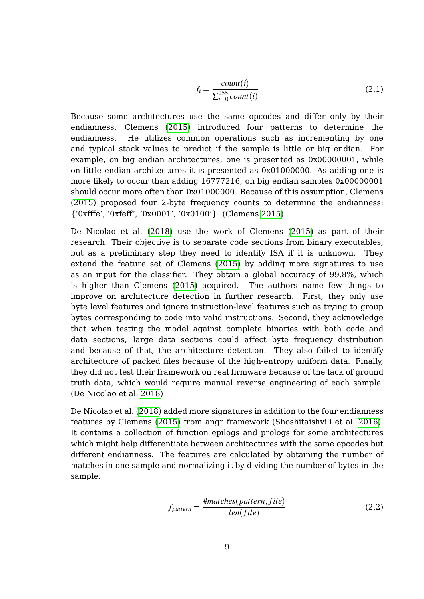$$
f_i = \frac{count(i)}{\sum_{i=0}^{255} count(i)}
$$
\n(2.1)

Because some architectures use the same opcodes and differ only by their endianness, Clemens [\(2015\)](#page-63-1) introduced four patterns to determine the endianness. He utilizes common operations such as incrementing by one and typical stack values to predict if the sample is little or big endian. For example, on big endian architectures, one is presented as 0x00000001, while on little endian architectures it is presented as 0x01000000. As adding one is more likely to occur than adding 16777216, on big endian samples 0x00000001 should occur more often than 0x01000000. Because of this assumption, Clemens [\(2015\)](#page-63-1) proposed four 2-byte frequency counts to determine the endianness: {'0xfffe', '0xfeff', '0x0001', '0x0100'}. (Clemens [2015\)](#page-63-1)

De Nicolao et al. [\(2018\)](#page-63-2) use the work of Clemens [\(2015\)](#page-63-1) as part of their research. Their objective is to separate code sections from binary executables, but as a preliminary step they need to identify ISA if it is unknown. They extend the feature set of Clemens [\(2015\)](#page-63-1) by adding more signatures to use as an input for the classifier. They obtain a global accuracy of 99.8%, which is higher than Clemens [\(2015\)](#page-63-1) acquired. The authors name few things to improve on architecture detection in further research. First, they only use byte level features and ignore instruction-level features such as trying to group bytes corresponding to code into valid instructions. Second, they acknowledge that when testing the model against complete binaries with both code and data sections, large data sections could affect byte frequency distribution and because of that, the architecture detection. They also failed to identify architecture of packed files because of the high-entropy uniform data. Finally, they did not test their framework on real firmware because of the lack of ground truth data, which would require manual reverse engineering of each sample. (De Nicolao et al. [2018\)](#page-63-2)

De Nicolao et al. [\(2018\)](#page-63-2) added more signatures in addition to the four endianness features by Clemens [\(2015\)](#page-63-1) from angr framework (Shoshitaishvili et al. [2016\)](#page-68-1). It contains a collection of function epilogs and prologs for some architectures which might help differentiate between architectures with the same opcodes but different endianness. The features are calculated by obtaining the number of matches in one sample and normalizing it by dividing the number of bytes in the sample:

$$
f_{pattern} = \frac{\text{#matches}(pattern, file)}{len(file)} \tag{2.2}
$$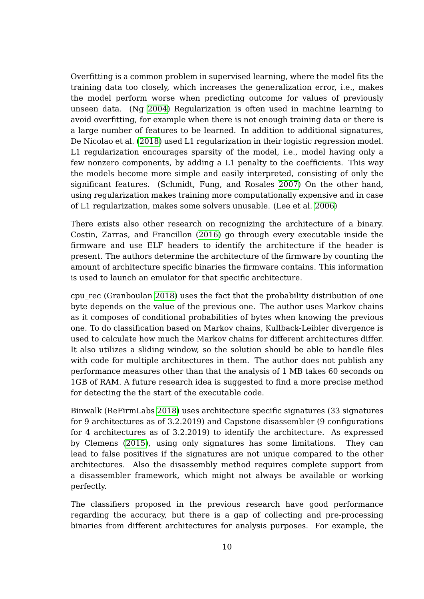Overfitting is a common problem in supervised learning, where the model fits the training data too closely, which increases the generalization error, i.e., makes the model perform worse when predicting outcome for values of previously unseen data. (Ng [2004\)](#page-67-3) Regularization is often used in machine learning to avoid overfitting, for example when there is not enough training data or there is a large number of features to be learned. In addition to additional signatures, De Nicolao et al. [\(2018\)](#page-63-2) used L1 regularization in their logistic regression model. L1 regularization encourages sparsity of the model, i.e., model having only a few nonzero components, by adding a L1 penalty to the coefficients. This way the models become more simple and easily interpreted, consisting of only the significant features. (Schmidt, Fung, and Rosales [2007\)](#page-68-2) On the other hand, using regularization makes training more computationally expensive and in case of L1 regularization, makes some solvers unusable. (Lee et al. [2006\)](#page-66-4)

There exists also other research on recognizing the architecture of a binary. Costin, Zarras, and Francillon [\(2016\)](#page-63-4) go through every executable inside the firmware and use ELF headers to identify the architecture if the header is present. The authors determine the architecture of the firmware by counting the amount of architecture specific binaries the firmware contains. This information is used to launch an emulator for that specific architecture.

cpu\_rec (Granboulan [2018\)](#page-65-4) uses the fact that the probability distribution of one byte depends on the value of the previous one. The author uses Markov chains as it composes of conditional probabilities of bytes when knowing the previous one. To do classification based on Markov chains, Kullback-Leibler divergence is used to calculate how much the Markov chains for different architectures differ. It also utilizes a sliding window, so the solution should be able to handle files with code for multiple architectures in them. The author does not publish any performance measures other than that the analysis of 1 MB takes 60 seconds on 1GB of RAM. A future research idea is suggested to find a more precise method for detecting the the start of the executable code.

Binwalk (ReFirmLabs [2018\)](#page-67-1) uses architecture specific signatures (33 signatures for 9 architectures as of 3.2.2019) and Capstone disassembler (9 configurations for 4 architectures as of 3.2.2019) to identify the architecture. As expressed by Clemens [\(2015\)](#page-63-1), using only signatures has some limitations. They can lead to false positives if the signatures are not unique compared to the other architectures. Also the disassembly method requires complete support from a disassembler framework, which might not always be available or working perfectly.

The classifiers proposed in the previous research have good performance regarding the accuracy, but there is a gap of collecting and pre-processing binaries from different architectures for analysis purposes. For example, the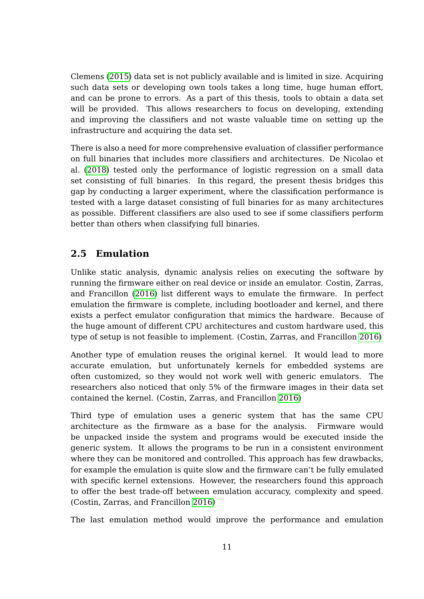Clemens [\(2015\)](#page-63-1) data set is not publicly available and is limited in size. Acquiring such data sets or developing own tools takes a long time, huge human effort, and can be prone to errors. As a part of this thesis, tools to obtain a data set will be provided. This allows researchers to focus on developing, extending and improving the classifiers and not waste valuable time on setting up the infrastructure and acquiring the data set.

There is also a need for more comprehensive evaluation of classifier performance on full binaries that includes more classifiers and architectures. De Nicolao et al. [\(2018\)](#page-63-2) tested only the performance of logistic regression on a small data set consisting of full binaries. In this regard, the present thesis bridges this gap by conducting a larger experiment, where the classification performance is tested with a large dataset consisting of full binaries for as many architectures as possible. Different classifiers are also used to see if some classifiers perform better than others when classifying full binaries.

## <span id="page-17-0"></span>**2.5 Emulation**

Unlike static analysis, dynamic analysis relies on executing the software by running the firmware either on real device or inside an emulator. Costin, Zarras, and Francillon [\(2016\)](#page-63-4) list different ways to emulate the firmware. In perfect emulation the firmware is complete, including bootloader and kernel, and there exists a perfect emulator configuration that mimics the hardware. Because of the huge amount of different CPU architectures and custom hardware used, this type of setup is not feasible to implement. (Costin, Zarras, and Francillon [2016\)](#page-63-4)

Another type of emulation reuses the original kernel. It would lead to more accurate emulation, but unfortunately kernels for embedded systems are often customized, so they would not work well with generic emulators. The researchers also noticed that only 5% of the firmware images in their data set contained the kernel. (Costin, Zarras, and Francillon [2016\)](#page-63-4)

Third type of emulation uses a generic system that has the same CPU architecture as the firmware as a base for the analysis. Firmware would be unpacked inside the system and programs would be executed inside the generic system. It allows the programs to be run in a consistent environment where they can be monitored and controlled. This approach has few drawbacks, for example the emulation is quite slow and the firmware can't be fully emulated with specific kernel extensions. However, the researchers found this approach to offer the best trade-off between emulation accuracy, complexity and speed. (Costin, Zarras, and Francillon [2016\)](#page-63-4)

The last emulation method would improve the performance and emulation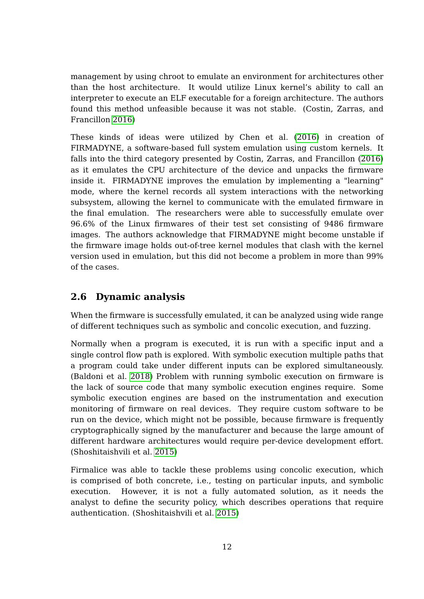management by using chroot to emulate an environment for architectures other than the host architecture. It would utilize Linux kernel's ability to call an interpreter to execute an ELF executable for a foreign architecture. The authors found this method unfeasible because it was not stable. (Costin, Zarras, and Francillon [2016\)](#page-63-4)

These kinds of ideas were utilized by Chen et al. [\(2016\)](#page-63-5) in creation of FIRMADYNE, a software-based full system emulation using custom kernels. It falls into the third category presented by Costin, Zarras, and Francillon [\(2016\)](#page-63-4) as it emulates the CPU architecture of the device and unpacks the firmware inside it. FIRMADYNE improves the emulation by implementing a "learning" mode, where the kernel records all system interactions with the networking subsystem, allowing the kernel to communicate with the emulated firmware in the final emulation. The researchers were able to successfully emulate over 96.6% of the Linux firmwares of their test set consisting of 9486 firmware images. The authors acknowledge that FIRMADYNE might become unstable if the firmware image holds out-of-tree kernel modules that clash with the kernel version used in emulation, but this did not become a problem in more than 99% of the cases.

## <span id="page-18-0"></span>**2.6 Dynamic analysis**

When the firmware is successfully emulated, it can be analyzed using wide range of different techniques such as symbolic and concolic execution, and fuzzing.

Normally when a program is executed, it is run with a specific input and a single control flow path is explored. With symbolic execution multiple paths that a program could take under different inputs can be explored simultaneously. (Baldoni et al. [2018\)](#page-62-2) Problem with running symbolic execution on firmware is the lack of source code that many symbolic execution engines require. Some symbolic execution engines are based on the instrumentation and execution monitoring of firmware on real devices. They require custom software to be run on the device, which might not be possible, because firmware is frequently cryptographically signed by the manufacturer and because the large amount of different hardware architectures would require per-device development effort. (Shoshitaishvili et al. [2015\)](#page-68-0)

Firmalice was able to tackle these problems using concolic execution, which is comprised of both concrete, i.e., testing on particular inputs, and symbolic execution. However, it is not a fully automated solution, as it needs the analyst to define the security policy, which describes operations that require authentication. (Shoshitaishvili et al. [2015\)](#page-68-0)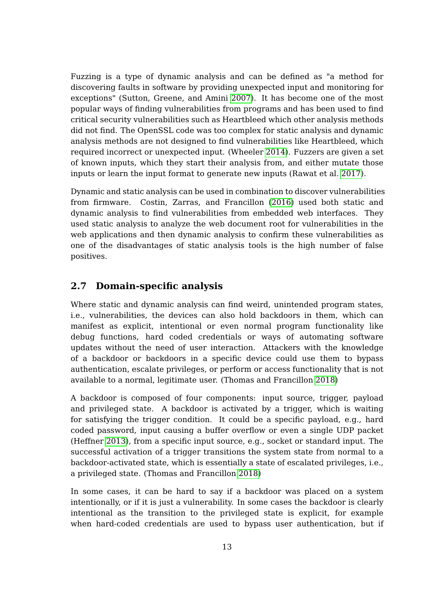Fuzzing is a type of dynamic analysis and can be defined as "a method for discovering faults in software by providing unexpected input and monitoring for exceptions" (Sutton, Greene, and Amini [2007\)](#page-69-3). It has become one of the most popular ways of finding vulnerabilities from programs and has been used to find critical security vulnerabilities such as Heartbleed which other analysis methods did not find. The OpenSSL code was too complex for static analysis and dynamic analysis methods are not designed to find vulnerabilities like Heartbleed, which required incorrect or unexpected input. (Wheeler [2014\)](#page-69-4). Fuzzers are given a set of known inputs, which they start their analysis from, and either mutate those inputs or learn the input format to generate new inputs (Rawat et al. [2017\)](#page-67-4).

Dynamic and static analysis can be used in combination to discover vulnerabilities from firmware. Costin, Zarras, and Francillon [\(2016\)](#page-63-4) used both static and dynamic analysis to find vulnerabilities from embedded web interfaces. They used static analysis to analyze the web document root for vulnerabilities in the web applications and then dynamic analysis to confirm these vulnerabilities as one of the disadvantages of static analysis tools is the high number of false positives.

### <span id="page-19-0"></span>**2.7 Domain-specific analysis**

Where static and dynamic analysis can find weird, unintended program states, i.e., vulnerabilities, the devices can also hold backdoors in them, which can manifest as explicit, intentional or even normal program functionality like debug functions, hard coded credentials or ways of automating software updates without the need of user interaction. Attackers with the knowledge of a backdoor or backdoors in a specific device could use them to bypass authentication, escalate privileges, or perform or access functionality that is not available to a normal, legitimate user. (Thomas and Francillon [2018\)](#page-69-5)

A backdoor is composed of four components: input source, trigger, payload and privileged state. A backdoor is activated by a trigger, which is waiting for satisfying the trigger condition. It could be a specific payload, e.g., hard coded password, input causing a buffer overflow or even a single UDP packet (Heffner [2013\)](#page-65-5), from a specific input source, e.g., socket or standard input. The successful activation of a trigger transitions the system state from normal to a backdoor-activated state, which is essentially a state of escalated privileges, i.e., a privileged state. (Thomas and Francillon [2018\)](#page-69-5)

In some cases, it can be hard to say if a backdoor was placed on a system intentionally, or if it is just a vulnerability. In some cases the backdoor is clearly intentional as the transition to the privileged state is explicit, for example when hard-coded credentials are used to bypass user authentication, but if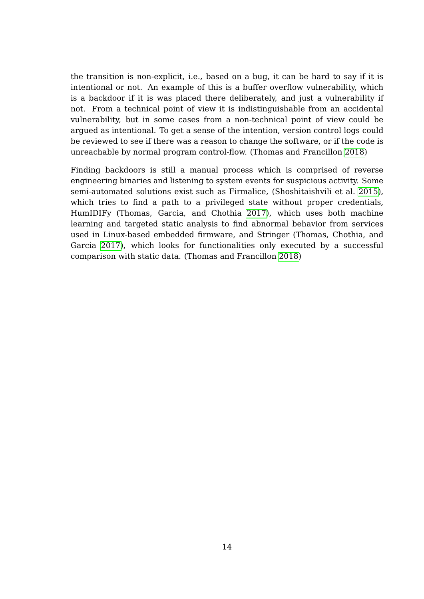the transition is non-explicit, i.e., based on a bug, it can be hard to say if it is intentional or not. An example of this is a buffer overflow vulnerability, which is a backdoor if it is was placed there deliberately, and just a vulnerability if not. From a technical point of view it is indistinguishable from an accidental vulnerability, but in some cases from a non-technical point of view could be argued as intentional. To get a sense of the intention, version control logs could be reviewed to see if there was a reason to change the software, or if the code is unreachable by normal program control-flow. (Thomas and Francillon [2018\)](#page-69-5)

Finding backdoors is still a manual process which is comprised of reverse engineering binaries and listening to system events for suspicious activity. Some semi-automated solutions exist such as Firmalice, (Shoshitaishvili et al. [2015\)](#page-68-0), which tries to find a path to a privileged state without proper credentials, HumIDIFy (Thomas, Garcia, and Chothia [2017\)](#page-69-6), which uses both machine learning and targeted static analysis to find abnormal behavior from services used in Linux-based embedded firmware, and Stringer (Thomas, Chothia, and Garcia [2017\)](#page-69-7), which looks for functionalities only executed by a successful comparison with static data. (Thomas and Francillon [2018\)](#page-69-5)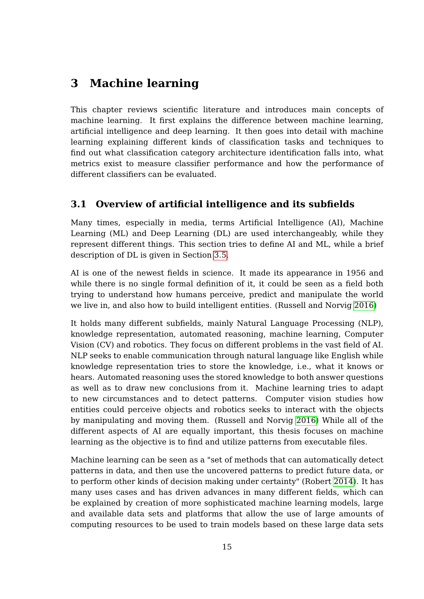## <span id="page-21-0"></span>**3 Machine learning**

This chapter reviews scientific literature and introduces main concepts of machine learning. It first explains the difference between machine learning, artificial intelligence and deep learning. It then goes into detail with machine learning explaining different kinds of classification tasks and techniques to find out what classification category architecture identification falls into, what metrics exist to measure classifier performance and how the performance of different classifiers can be evaluated.

## <span id="page-21-1"></span>**3.1 Overview of artificial intelligence and its subfields**

Many times, especially in media, terms Artificial Intelligence (AI), Machine Learning (ML) and Deep Learning (DL) are used interchangeably, while they represent different things. This section tries to define AI and ML, while a brief description of DL is given in Section [3.5.](#page-30-1)

AI is one of the newest fields in science. It made its appearance in 1956 and while there is no single formal definition of it, it could be seen as a field both trying to understand how humans perceive, predict and manipulate the world we live in, and also how to build intelligent entities. (Russell and Norvig [2016\)](#page-68-3)

It holds many different subfields, mainly Natural Language Processing (NLP), knowledge representation, automated reasoning, machine learning, Computer Vision (CV) and robotics. They focus on different problems in the vast field of AI. NLP seeks to enable communication through natural language like English while knowledge representation tries to store the knowledge, i.e., what it knows or hears. Automated reasoning uses the stored knowledge to both answer questions as well as to draw new conclusions from it. Machine learning tries to adapt to new circumstances and to detect patterns. Computer vision studies how entities could perceive objects and robotics seeks to interact with the objects by manipulating and moving them. (Russell and Norvig [2016\)](#page-68-3) While all of the different aspects of AI are equally important, this thesis focuses on machine learning as the objective is to find and utilize patterns from executable files.

Machine learning can be seen as a "set of methods that can automatically detect patterns in data, and then use the uncovered patterns to predict future data, or to perform other kinds of decision making under certainty" (Robert [2014\)](#page-68-4). It has many uses cases and has driven advances in many different fields, which can be explained by creation of more sophisticated machine learning models, large and available data sets and platforms that allow the use of large amounts of computing resources to be used to train models based on these large data sets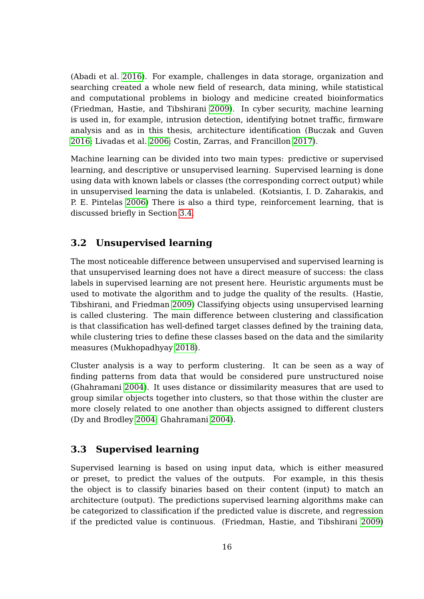(Abadi et al. [2016\)](#page-62-3). For example, challenges in data storage, organization and searching created a whole new field of research, data mining, while statistical and computational problems in biology and medicine created bioinformatics (Friedman, Hastie, and Tibshirani [2009\)](#page-64-2). In cyber security, machine learning is used in, for example, intrusion detection, identifying botnet traffic, firmware analysis and as in this thesis, architecture identification (Buczak and Guven [2016;](#page-62-4) Livadas et al. [2006;](#page-67-5) Costin, Zarras, and Francillon [2017\)](#page-63-6).

Machine learning can be divided into two main types: predictive or supervised learning, and descriptive or unsupervised learning. Supervised learning is done using data with known labels or classes (the corresponding correct output) while in unsupervised learning the data is unlabeled. (Kotsiantis, I. D. Zaharakis, and P. E. Pintelas [2006\)](#page-66-5) There is also a third type, reinforcement learning, that is discussed briefly in Section [3.4.](#page-30-0)

### <span id="page-22-0"></span>**3.2 Unsupervised learning**

The most noticeable difference between unsupervised and supervised learning is that unsupervised learning does not have a direct measure of success: the class labels in supervised learning are not present here. Heuristic arguments must be used to motivate the algorithm and to judge the quality of the results. (Hastie, Tibshirani, and Friedman [2009\)](#page-65-6) Classifying objects using unsupervised learning is called clustering. The main difference between clustering and classification is that classification has well-defined target classes defined by the training data, while clustering tries to define these classes based on the data and the similarity measures (Mukhopadhyay [2018\)](#page-67-6).

Cluster analysis is a way to perform clustering. It can be seen as a way of finding patterns from data that would be considered pure unstructured noise (Ghahramani [2004\)](#page-64-3). It uses distance or dissimilarity measures that are used to group similar objects together into clusters, so that those within the cluster are more closely related to one another than objects assigned to different clusters (Dy and Brodley [2004;](#page-64-4) Ghahramani [2004\)](#page-64-3).

#### <span id="page-22-1"></span>**3.3 Supervised learning**

Supervised learning is based on using input data, which is either measured or preset, to predict the values of the outputs. For example, in this thesis the object is to classify binaries based on their content (input) to match an architecture (output). The predictions supervised learning algorithms make can be categorized to classification if the predicted value is discrete, and regression if the predicted value is continuous. (Friedman, Hastie, and Tibshirani [2009\)](#page-64-2)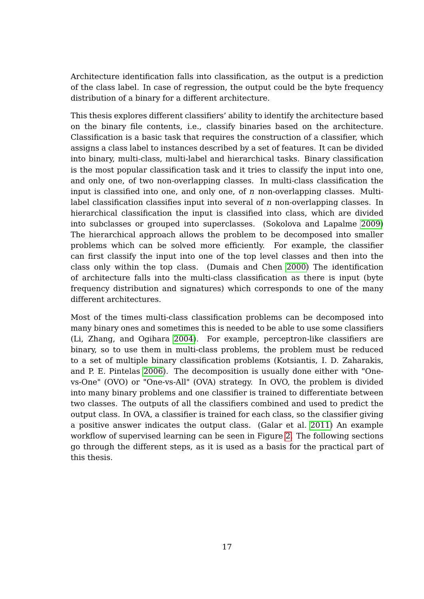Architecture identification falls into classification, as the output is a prediction of the class label. In case of regression, the output could be the byte frequency distribution of a binary for a different architecture.

This thesis explores different classifiers' ability to identify the architecture based on the binary file contents, i.e., classify binaries based on the architecture. Classification is a basic task that requires the construction of a classifier, which assigns a class label to instances described by a set of features. It can be divided into binary, multi-class, multi-label and hierarchical tasks. Binary classification is the most popular classification task and it tries to classify the input into one, and only one, of two non-overlapping classes. In multi-class classification the input is classified into one, and only one, of n non-overlapping classes. Multilabel classification classifies input into several of n non-overlapping classes. In hierarchical classification the input is classified into class, which are divided into subclasses or grouped into superclasses. (Sokolova and Lapalme [2009\)](#page-69-8) The hierarchical approach allows the problem to be decomposed into smaller problems which can be solved more efficiently. For example, the classifier can first classify the input into one of the top level classes and then into the class only within the top class. (Dumais and Chen [2000\)](#page-64-5) The identification of architecture falls into the multi-class classification as there is input (byte frequency distribution and signatures) which corresponds to one of the many different architectures.

Most of the times multi-class classification problems can be decomposed into many binary ones and sometimes this is needed to be able to use some classifiers (Li, Zhang, and Ogihara [2004\)](#page-66-6). For example, perceptron-like classifiers are binary, so to use them in multi-class problems, the problem must be reduced to a set of multiple binary classification problems (Kotsiantis, I. D. Zaharakis, and P. E. Pintelas [2006\)](#page-66-5). The decomposition is usually done either with "Onevs-One" (OVO) or "One-vs-All" (OVA) strategy. In OVO, the problem is divided into many binary problems and one classifier is trained to differentiate between two classes. The outputs of all the classifiers combined and used to predict the output class. In OVA, a classifier is trained for each class, so the classifier giving a positive answer indicates the output class. (Galar et al. [2011\)](#page-64-6) An example workflow of supervised learning can be seen in Figure [2.](#page-24-0) The following sections go through the different steps, as it is used as a basis for the practical part of this thesis.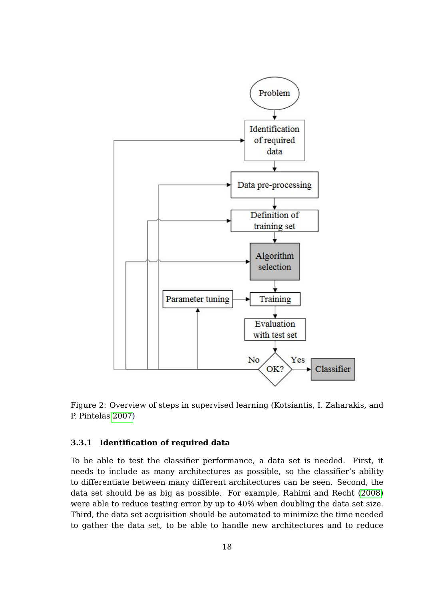

<span id="page-24-0"></span>Figure 2: Overview of steps in supervised learning (Kotsiantis, I. Zaharakis, and P. Pintelas [2007\)](#page-66-0)

#### <span id="page-24-1"></span>**3.3.1 Identification of required data**

To be able to test the classifier performance, a data set is needed. First, it needs to include as many architectures as possible, so the classifier's ability to differentiate between many different architectures can be seen. Second, the data set should be as big as possible. For example, Rahimi and Recht [\(2008\)](#page-67-7) were able to reduce testing error by up to 40% when doubling the data set size. Third, the data set acquisition should be automated to minimize the time needed to gather the data set, to be able to handle new architectures and to reduce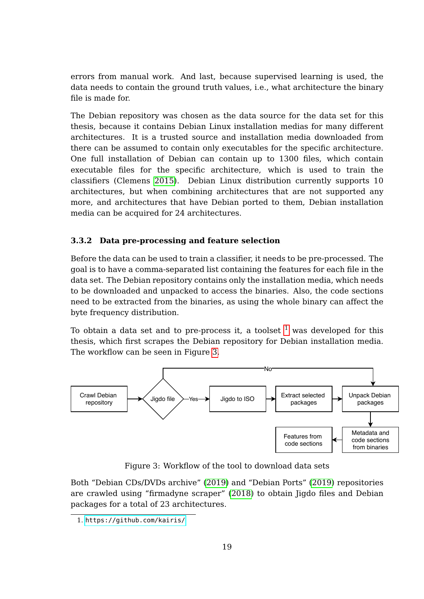errors from manual work. And last, because supervised learning is used, the data needs to contain the ground truth values, i.e., what architecture the binary file is made for.

The Debian repository was chosen as the data source for the data set for this thesis, because it contains Debian Linux installation medias for many different architectures. It is a trusted source and installation media downloaded from there can be assumed to contain only executables for the specific architecture. One full installation of Debian can contain up to 1300 files, which contain executable files for the specific architecture, which is used to train the classifiers (Clemens [2015\)](#page-63-1). Debian Linux distribution currently supports 10 architectures, but when combining architectures that are not supported any more, and architectures that have Debian ported to them, Debian installation media can be acquired for 24 architectures.

#### <span id="page-25-1"></span>**3.3.2 Data pre-processing and feature selection**

Before the data can be used to train a classifier, it needs to be pre-processed. The goal is to have a comma-separated list containing the features for each file in the data set. The Debian repository contains only the installation media, which needs to be downloaded and unpacked to access the binaries. Also, the code sections need to be extracted from the binaries, as using the whole binary can affect the byte frequency distribution.

To obtain a data set and to pre-process it, a toolset  $<sup>1</sup>$  $<sup>1</sup>$  $<sup>1</sup>$  was developed for this</sup> thesis, which first scrapes the Debian repository for Debian installation media. The workflow can be seen in Figure [3.](#page-25-0)



<span id="page-25-0"></span>Figure 3: Workflow of the tool to download data sets

Both "Debian CDs/DVDs archive" [\(2019\)](#page-63-7) and "Debian Ports" [\(2019\)](#page-63-8) repositories are crawled using "firmadyne scraper" [\(2018\)](#page-64-7) to obtain Jigdo files and Debian packages for a total of 23 architectures.

<span id="page-25-2"></span><sup>1.</sup> <https://github.com/kairis/>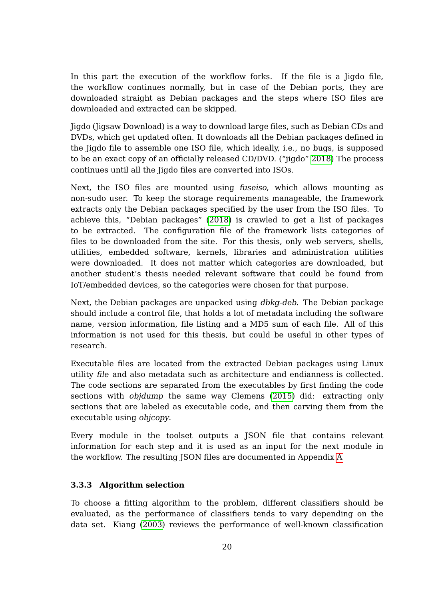In this part the execution of the workflow forks. If the file is a Jigdo file, the workflow continues normally, but in case of the Debian ports, they are downloaded straight as Debian packages and the steps where ISO files are downloaded and extracted can be skipped.

Jigdo (Jigsaw Download) is a way to download large files, such as Debian CDs and DVDs, which get updated often. It downloads all the Debian packages defined in the Jigdo file to assemble one ISO file, which ideally, i.e., no bugs, is supposed to be an exact copy of an officially released CD/DVD. ("jigdo" [2018\)](#page-65-7) The process continues until all the Jigdo files are converted into ISOs.

Next, the ISO files are mounted using fuseiso, which allows mounting as non-sudo user. To keep the storage requirements manageable, the framework extracts only the Debian packages specified by the user from the ISO files. To achieve this, "Debian packages" [\(2018\)](#page-63-9) is crawled to get a list of packages to be extracted. The configuration file of the framework lists categories of files to be downloaded from the site. For this thesis, only web servers, shells, utilities, embedded software, kernels, libraries and administration utilities were downloaded. It does not matter which categories are downloaded, but another student's thesis needed relevant software that could be found from IoT/embedded devices, so the categories were chosen for that purpose.

Next, the Debian packages are unpacked using dbkg-deb. The Debian package should include a control file, that holds a lot of metadata including the software name, version information, file listing and a MD5 sum of each file. All of this information is not used for this thesis, but could be useful in other types of research.

Executable files are located from the extracted Debian packages using Linux utility file and also metadata such as architecture and endianness is collected. The code sections are separated from the executables by first finding the code sections with objdump the same way Clemens [\(2015\)](#page-63-1) did: extracting only sections that are labeled as executable code, and then carving them from the executable using objcopy.

Every module in the toolset outputs a JSON file that contains relevant information for each step and it is used as an input for the next module in the workflow. The resulting JSON files are documented in Appendix [A](#page-71-1)

#### <span id="page-26-0"></span>**3.3.3 Algorithm selection**

To choose a fitting algorithm to the problem, different classifiers should be evaluated, as the performance of classifiers tends to vary depending on the data set. Kiang [\(2003\)](#page-66-7) reviews the performance of well-known classification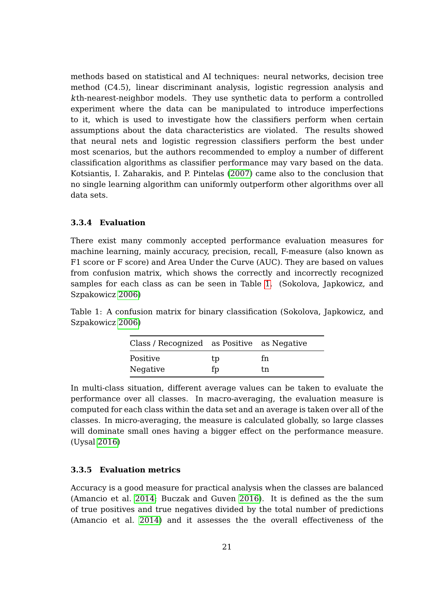methods based on statistical and AI techniques: neural networks, decision tree method (C4.5), linear discriminant analysis, logistic regression analysis and kth-nearest-neighbor models. They use synthetic data to perform a controlled experiment where the data can be manipulated to introduce imperfections to it, which is used to investigate how the classifiers perform when certain assumptions about the data characteristics are violated. The results showed that neural nets and logistic regression classifiers perform the best under most scenarios, but the authors recommended to employ a number of different classification algorithms as classifier performance may vary based on the data. Kotsiantis, I. Zaharakis, and P. Pintelas [\(2007\)](#page-66-0) came also to the conclusion that no single learning algorithm can uniformly outperform other algorithms over all data sets.

#### <span id="page-27-1"></span>**3.3.4 Evaluation**

There exist many commonly accepted performance evaluation measures for machine learning, mainly accuracy, precision, recall, F-measure (also known as F1 score or F score) and Area Under the Curve (AUC). They are based on values from confusion matrix, which shows the correctly and incorrectly recognized samples for each class as can be seen in Table [1.](#page-27-0) (Sokolova, Japkowicz, and Szpakowicz [2006\)](#page-69-1)

<span id="page-27-0"></span>Table 1: A confusion matrix for binary classification (Sokolova, Japkowicz, and Szpakowicz [2006\)](#page-69-1)

| Class / Recognized as Positive as Negative |    |     |
|--------------------------------------------|----|-----|
| Positive                                   | tp | f'n |
| Negative                                   | fp | tn  |

In multi-class situation, different average values can be taken to evaluate the performance over all classes. In macro-averaging, the evaluation measure is computed for each class within the data set and an average is taken over all of the classes. In micro-averaging, the measure is calculated globally, so large classes will dominate small ones having a bigger effect on the performance measure. (Uysal [2016\)](#page-69-9)

#### <span id="page-27-2"></span>**3.3.5 Evaluation metrics**

Accuracy is a good measure for practical analysis when the classes are balanced (Amancio et al. [2014;](#page-62-5) Buczak and Guven [2016\)](#page-62-4). It is defined as the the sum of true positives and true negatives divided by the total number of predictions (Amancio et al. [2014\)](#page-62-5) and it assesses the the overall effectiveness of the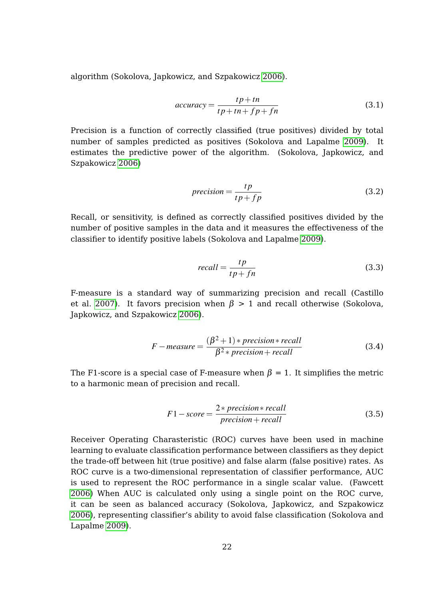algorithm (Sokolova, Japkowicz, and Szpakowicz [2006\)](#page-69-1).

$$
accuracy = \frac{tp + tn}{tp + tn + fp + fn}
$$
\n(3.1)

Precision is a function of correctly classified (true positives) divided by total number of samples predicted as positives (Sokolova and Lapalme [2009\)](#page-69-8). It estimates the predictive power of the algorithm. (Sokolova, Japkowicz, and Szpakowicz [2006\)](#page-69-1)

$$
precision = \frac{tp}{tp + fp}
$$
 (3.2)

Recall, or sensitivity, is defined as correctly classified positives divided by the number of positive samples in the data and it measures the effectiveness of the classifier to identify positive labels (Sokolova and Lapalme [2009\)](#page-69-8).

$$
recall = \frac{tp}{tp + fn} \tag{3.3}
$$

F-measure is a standard way of summarizing precision and recall (Castillo et al. [2007\)](#page-63-10). It favors precision when  $\beta > 1$  and recall otherwise (Sokolova, Japkowicz, and Szpakowicz [2006\)](#page-69-1).

$$
F-measure = \frac{(\beta^2 + 1) * precision * recall}{\beta^2 * precision + recall}
$$
 (3.4)

The F1-score is a special case of F-measure when  $\beta = 1$ . It simplifies the metric to a harmonic mean of precision and recall.

$$
F1-score = \frac{2*precision*recall}{precision+recall}
$$
 (3.5)

Receiver Operating Charasteristic (ROC) curves have been used in machine learning to evaluate classification performance between classifiers as they depict the trade-off between hit (true positive) and false alarm (false positive) rates. As ROC curve is a two-dimensional representation of classifier performance, AUC is used to represent the ROC performance in a single scalar value. (Fawcett [2006\)](#page-64-8) When AUC is calculated only using a single point on the ROC curve, it can be seen as balanced accuracy (Sokolova, Japkowicz, and Szpakowicz [2006\)](#page-69-1), representing classifier's ability to avoid false classification (Sokolova and Lapalme [2009\)](#page-69-8).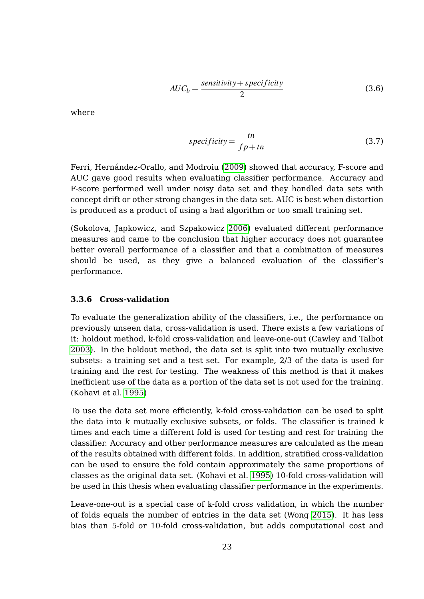$$
AUC_b = \frac{sensitivity + specificity}{2}
$$
 (3.6)

where

$$
specificity = \frac{tn}{fp + tn}
$$
\n(3.7)

Ferri, Hernández-Orallo, and Modroiu [\(2009\)](#page-64-9) showed that accuracy, F-score and AUC gave good results when evaluating classifier performance. Accuracy and F-score performed well under noisy data set and they handled data sets with concept drift or other strong changes in the data set. AUC is best when distortion is produced as a product of using a bad algorithm or too small training set.

(Sokolova, Japkowicz, and Szpakowicz [2006\)](#page-69-1) evaluated different performance measures and came to the conclusion that higher accuracy does not guarantee better overall performance of a classifier and that a combination of measures should be used, as they give a balanced evaluation of the classifier's performance.

#### <span id="page-29-0"></span>**3.3.6 Cross-validation**

To evaluate the generalization ability of the classifiers, i.e., the performance on previously unseen data, cross-validation is used. There exists a few variations of it: holdout method, k-fold cross-validation and leave-one-out (Cawley and Talbot [2003\)](#page-63-11). In the holdout method, the data set is split into two mutually exclusive subsets: a training set and a test set. For example, 2/3 of the data is used for training and the rest for testing. The weakness of this method is that it makes inefficient use of the data as a portion of the data set is not used for the training. (Kohavi et al. [1995\)](#page-66-8)

To use the data set more efficiently, k-fold cross-validation can be used to split the data into  $k$  mutually exclusive subsets, or folds. The classifier is trained  $k$ times and each time a different fold is used for testing and rest for training the classifier. Accuracy and other performance measures are calculated as the mean of the results obtained with different folds. In addition, stratified cross-validation can be used to ensure the fold contain approximately the same proportions of classes as the original data set. (Kohavi et al. [1995\)](#page-66-8) 10-fold cross-validation will be used in this thesis when evaluating classifier performance in the experiments.

Leave-one-out is a special case of k-fold cross validation, in which the number of folds equals the number of entries in the data set (Wong [2015\)](#page-70-5). It has less bias than 5-fold or 10-fold cross-validation, but adds computational cost and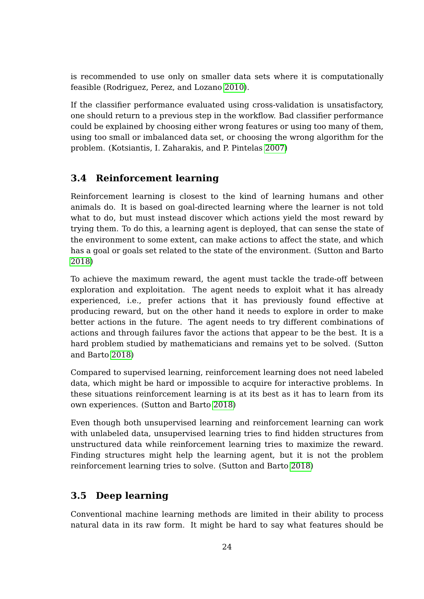is recommended to use only on smaller data sets where it is computationally feasible (Rodriguez, Perez, and Lozano [2010\)](#page-68-5).

If the classifier performance evaluated using cross-validation is unsatisfactory, one should return to a previous step in the workflow. Bad classifier performance could be explained by choosing either wrong features or using too many of them, using too small or imbalanced data set, or choosing the wrong algorithm for the problem. (Kotsiantis, I. Zaharakis, and P. Pintelas [2007\)](#page-66-0)

## <span id="page-30-0"></span>**3.4 Reinforcement learning**

Reinforcement learning is closest to the kind of learning humans and other animals do. It is based on goal-directed learning where the learner is not told what to do, but must instead discover which actions yield the most reward by trying them. To do this, a learning agent is deployed, that can sense the state of the environment to some extent, can make actions to affect the state, and which has a goal or goals set related to the state of the environment. (Sutton and Barto [2018\)](#page-69-10)

To achieve the maximum reward, the agent must tackle the trade-off between exploration and exploitation. The agent needs to exploit what it has already experienced, i.e., prefer actions that it has previously found effective at producing reward, but on the other hand it needs to explore in order to make better actions in the future. The agent needs to try different combinations of actions and through failures favor the actions that appear to be the best. It is a hard problem studied by mathematicians and remains yet to be solved. (Sutton and Barto [2018\)](#page-69-10)

Compared to supervised learning, reinforcement learning does not need labeled data, which might be hard or impossible to acquire for interactive problems. In these situations reinforcement learning is at its best as it has to learn from its own experiences. (Sutton and Barto [2018\)](#page-69-10)

Even though both unsupervised learning and reinforcement learning can work with unlabeled data, unsupervised learning tries to find hidden structures from unstructured data while reinforcement learning tries to maximize the reward. Finding structures might help the learning agent, but it is not the problem reinforcement learning tries to solve. (Sutton and Barto [2018\)](#page-69-10)

## <span id="page-30-1"></span>**3.5 Deep learning**

Conventional machine learning methods are limited in their ability to process natural data in its raw form. It might be hard to say what features should be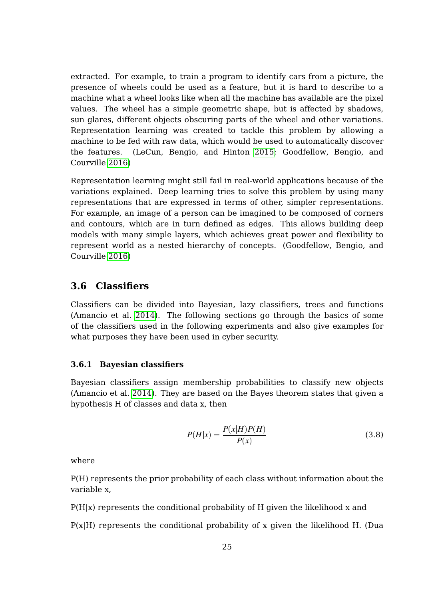extracted. For example, to train a program to identify cars from a picture, the presence of wheels could be used as a feature, but it is hard to describe to a machine what a wheel looks like when all the machine has available are the pixel values. The wheel has a simple geometric shape, but is affected by shadows, sun glares, different objects obscuring parts of the wheel and other variations. Representation learning was created to tackle this problem by allowing a machine to be fed with raw data, which would be used to automatically discover the features. (LeCun, Bengio, and Hinton [2015;](#page-66-9) Goodfellow, Bengio, and Courville [2016\)](#page-65-8)

Representation learning might still fail in real-world applications because of the variations explained. Deep learning tries to solve this problem by using many representations that are expressed in terms of other, simpler representations. For example, an image of a person can be imagined to be composed of corners and contours, which are in turn defined as edges. This allows building deep models with many simple layers, which achieves great power and flexibility to represent world as a nested hierarchy of concepts. (Goodfellow, Bengio, and Courville [2016\)](#page-65-8)

#### <span id="page-31-0"></span>**3.6 Classifiers**

Classifiers can be divided into Bayesian, lazy classifiers, trees and functions (Amancio et al. [2014\)](#page-62-5). The following sections go through the basics of some of the classifiers used in the following experiments and also give examples for what purposes they have been used in cyber security.

#### <span id="page-31-1"></span>**3.6.1 Bayesian classifiers**

Bayesian classifiers assign membership probabilities to classify new objects (Amancio et al. [2014\)](#page-62-5). They are based on the Bayes theorem states that given a hypothesis H of classes and data x, then

$$
P(H|x) = \frac{P(x|H)P(H)}{P(x)}
$$
\n(3.8)

where

P(H) represents the prior probability of each class without information about the variable x,

 $P(H|x)$  represents the conditional probability of H given the likelihood x and

 $P(x|H)$  represents the conditional probability of x given the likelihood H. (Dua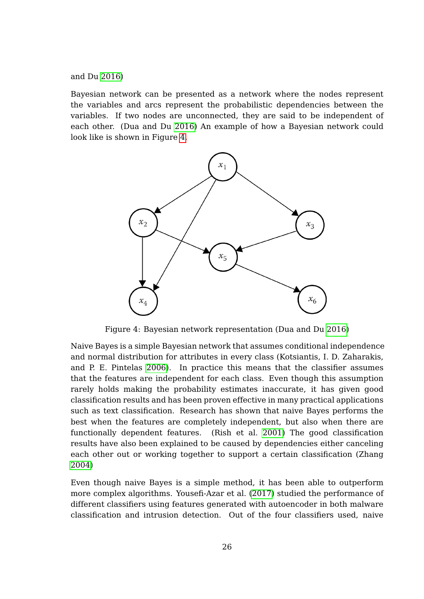and Du [2016\)](#page-64-0)

Bayesian network can be presented as a network where the nodes represent the variables and arcs represent the probabilistic dependencies between the variables. If two nodes are unconnected, they are said to be independent of each other. (Dua and Du [2016\)](#page-64-0) An example of how a Bayesian network could look like is shown in Figure [4.](#page-32-0)



<span id="page-32-0"></span>Figure 4: Bayesian network representation (Dua and Du [2016\)](#page-64-0)

Naive Bayes is a simple Bayesian network that assumes conditional independence and normal distribution for attributes in every class (Kotsiantis, I. D. Zaharakis, and P. E. Pintelas [2006\)](#page-66-5). In practice this means that the classifier assumes that the features are independent for each class. Even though this assumption rarely holds making the probability estimates inaccurate, it has given good classification results and has been proven effective in many practical applications such as text classification. Research has shown that naive Bayes performs the best when the features are completely independent, but also when there are functionally dependent features. (Rish et al. [2001\)](#page-68-6) The good classification results have also been explained to be caused by dependencies either canceling each other out or working together to support a certain classification (Zhang [2004\)](#page-70-6)

Even though naive Bayes is a simple method, it has been able to outperform more complex algorithms. Yousefi-Azar et al. [\(2017\)](#page-70-7) studied the performance of different classifiers using features generated with autoencoder in both malware classification and intrusion detection. Out of the four classifiers used, naive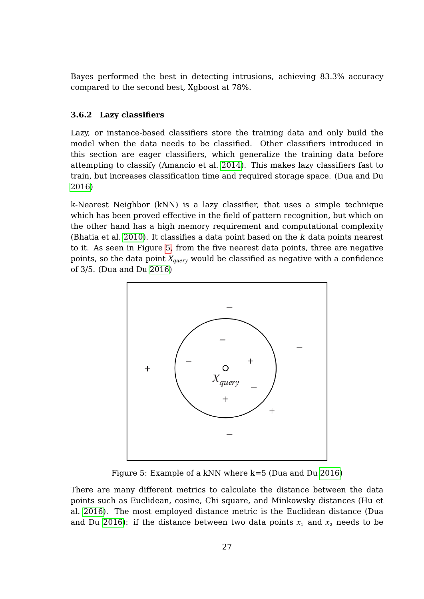Bayes performed the best in detecting intrusions, achieving 83.3% accuracy compared to the second best, Xgboost at 78%.

#### <span id="page-33-1"></span>**3.6.2 Lazy classifiers**

Lazy, or instance-based classifiers store the training data and only build the model when the data needs to be classified. Other classifiers introduced in this section are eager classifiers, which generalize the training data before attempting to classify (Amancio et al. [2014\)](#page-62-5). This makes lazy classifiers fast to train, but increases classification time and required storage space. (Dua and Du [2016\)](#page-64-0)

k-Nearest Neighbor (kNN) is a lazy classifier, that uses a simple technique which has been proved effective in the field of pattern recognition, but which on the other hand has a high memory requirement and computational complexity (Bhatia et al. [2010\)](#page-62-6). It classifies a data point based on the k data points nearest to it. As seen in Figure [5,](#page-33-0) from the five nearest data points, three are negative points, so the data point *Xquery* would be classified as negative with a confidence of 3/5. (Dua and Du [2016\)](#page-64-0)



<span id="page-33-0"></span>Figure 5: Example of a kNN where k=5 (Dua and Du [2016\)](#page-64-0)

There are many different metrics to calculate the distance between the data points such as Euclidean, cosine, Chi square, and Minkowsky distances (Hu et al. [2016\)](#page-65-9). The most employed distance metric is the Euclidean distance (Dua and Du [2016\)](#page-64-0): if the distance between two data points  $x_1$  and  $x_2$  needs to be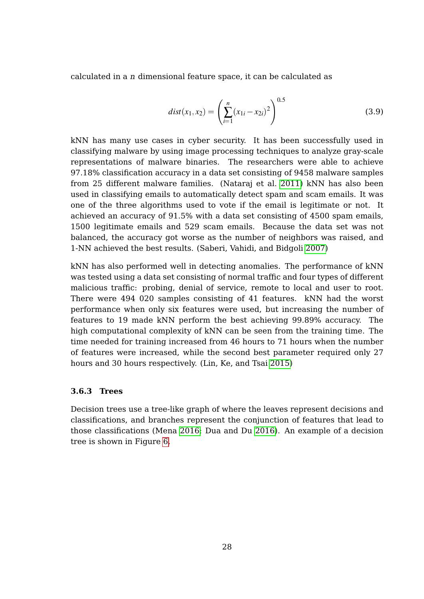calculated in a n dimensional feature space, it can be calculated as

$$
dist(x_1, x_2) = \left(\sum_{i=1}^{n} (x_{1i} - x_{2i})^2\right)^{0.5}
$$
\n(3.9)

kNN has many use cases in cyber security. It has been successfully used in classifying malware by using image processing techniques to analyze gray-scale representations of malware binaries. The researchers were able to achieve 97.18% classification accuracy in a data set consisting of 9458 malware samples from 25 different malware families. (Nataraj et al. [2011\)](#page-67-8) kNN has also been used in classifying emails to automatically detect spam and scam emails. It was one of the three algorithms used to vote if the email is legitimate or not. It achieved an accuracy of 91.5% with a data set consisting of 4500 spam emails, 1500 legitimate emails and 529 scam emails. Because the data set was not balanced, the accuracy got worse as the number of neighbors was raised, and 1-NN achieved the best results. (Saberi, Vahidi, and Bidgoli [2007\)](#page-68-7)

kNN has also performed well in detecting anomalies. The performance of kNN was tested using a data set consisting of normal traffic and four types of different malicious traffic: probing, denial of service, remote to local and user to root. There were 494 020 samples consisting of 41 features. kNN had the worst performance when only six features were used, but increasing the number of features to 19 made kNN perform the best achieving 99.89% accuracy. The high computational complexity of kNN can be seen from the training time. The time needed for training increased from 46 hours to 71 hours when the number of features were increased, while the second best parameter required only 27 hours and 30 hours respectively. (Lin, Ke, and Tsai [2015\)](#page-66-10)

#### <span id="page-34-0"></span>**3.6.3 Trees**

Decision trees use a tree-like graph of where the leaves represent decisions and classifications, and branches represent the conjunction of features that lead to those classifications (Mena [2016;](#page-67-9) Dua and Du [2016\)](#page-64-0). An example of a decision tree is shown in Figure [6.](#page-35-0)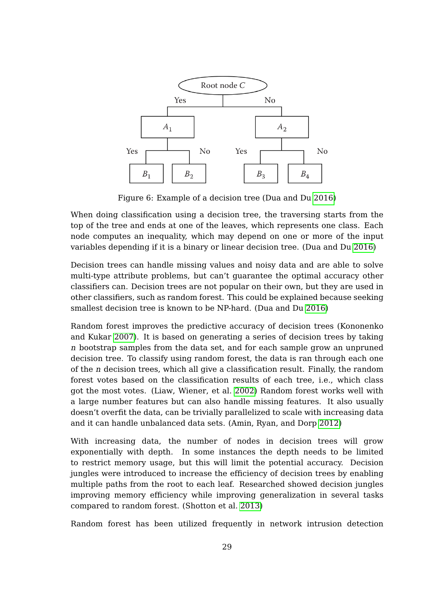

<span id="page-35-0"></span>Figure 6: Example of a decision tree (Dua and Du [2016\)](#page-64-0)

When doing classification using a decision tree, the traversing starts from the top of the tree and ends at one of the leaves, which represents one class. Each node computes an inequality, which may depend on one or more of the input variables depending if it is a binary or linear decision tree. (Dua and Du [2016\)](#page-64-0)

Decision trees can handle missing values and noisy data and are able to solve multi-type attribute problems, but can't guarantee the optimal accuracy other classifiers can. Decision trees are not popular on their own, but they are used in other classifiers, such as random forest. This could be explained because seeking smallest decision tree is known to be NP-hard. (Dua and Du [2016\)](#page-64-0)

Random forest improves the predictive accuracy of decision trees (Kononenko and Kukar [2007\)](#page-66-1). It is based on generating a series of decision trees by taking n bootstrap samples from the data set, and for each sample grow an unpruned decision tree. To classify using random forest, the data is ran through each one of the n decision trees, which all give a classification result. Finally, the random forest votes based on the classification results of each tree, i.e., which class got the most votes. (Liaw, Wiener, et al. [2002\)](#page-66-11) Random forest works well with a large number features but can also handle missing features. It also usually doesn't overfit the data, can be trivially parallelized to scale with increasing data and it can handle unbalanced data sets. (Amin, Ryan, and Dorp [2012\)](#page-62-7)

With increasing data, the number of nodes in decision trees will grow exponentially with depth. In some instances the depth needs to be limited to restrict memory usage, but this will limit the potential accuracy. Decision jungles were introduced to increase the efficiency of decision trees by enabling multiple paths from the root to each leaf. Researched showed decision jungles improving memory efficiency while improving generalization in several tasks compared to random forest. (Shotton et al. [2013\)](#page-68-8)

Random forest has been utilized frequently in network intrusion detection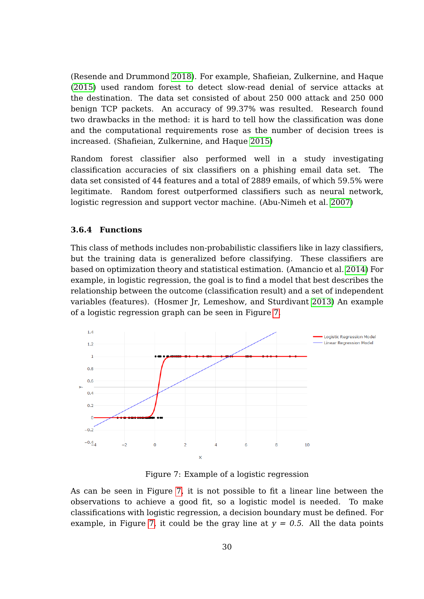(Resende and Drummond [2018\)](#page-67-0). For example, Shafieian, Zulkernine, and Haque [\(2015\)](#page-68-0) used random forest to detect slow-read denial of service attacks at the destination. The data set consisted of about 250 000 attack and 250 000 benign TCP packets. An accuracy of 99.37% was resulted. Research found two drawbacks in the method: it is hard to tell how the classification was done and the computational requirements rose as the number of decision trees is increased. (Shafieian, Zulkernine, and Haque [2015\)](#page-68-0)

Random forest classifier also performed well in a study investigating classification accuracies of six classifiers on a phishing email data set. The data set consisted of 44 features and a total of 2889 emails, of which 59.5% were legitimate. Random forest outperformed classifiers such as neural network, logistic regression and support vector machine. (Abu-Nimeh et al. [2007\)](#page-62-0)

#### <span id="page-36-1"></span>**3.6.4 Functions**

This class of methods includes non-probabilistic classifiers like in lazy classifiers, but the training data is generalized before classifying. These classifiers are based on optimization theory and statistical estimation. (Amancio et al. [2014\)](#page-62-1) For example, in logistic regression, the goal is to find a model that best describes the relationship between the outcome (classification result) and a set of independent variables (features). (Hosmer Jr, Lemeshow, and Sturdivant [2013\)](#page-65-0) An example of a logistic regression graph can be seen in Figure [7.](#page-36-0)



<span id="page-36-0"></span>Figure 7: Example of a logistic regression

As can be seen in Figure [7,](#page-36-0) it is not possible to fit a linear line between the observations to achieve a good fit, so a logistic model is needed. To make classifications with logistic regression, a decision boundary must be defined. For example, in Figure [7,](#page-36-0) it could be the gray line at  $y = 0.5$ . All the data points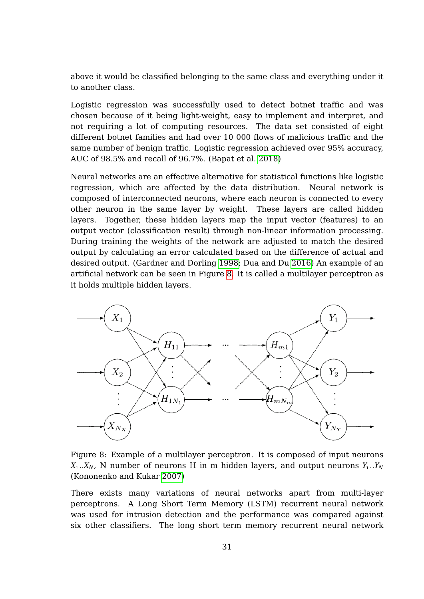above it would be classified belonging to the same class and everything under it to another class.

Logistic regression was successfully used to detect botnet traffic and was chosen because of it being light-weight, easy to implement and interpret, and not requiring a lot of computing resources. The data set consisted of eight different botnet families and had over 10 000 flows of malicious traffic and the same number of benign traffic. Logistic regression achieved over 95% accuracy, AUC of 98.5% and recall of 96.7%. (Bapat et al. [2018\)](#page-62-2)

Neural networks are an effective alternative for statistical functions like logistic regression, which are affected by the data distribution. Neural network is composed of interconnected neurons, where each neuron is connected to every other neuron in the same layer by weight. These layers are called hidden layers. Together, these hidden layers map the input vector (features) to an output vector (classification result) through non-linear information processing. During training the weights of the network are adjusted to match the desired output by calculating an error calculated based on the difference of actual and desired output. (Gardner and Dorling [1998;](#page-64-0) Dua and Du [2016\)](#page-64-1) An example of an artificial network can be seen in Figure [8.](#page-37-0) It is called a multilayer perceptron as it holds multiple hidden layers.



<span id="page-37-0"></span>Figure 8: Example of a multilayer perceptron. It is composed of input neurons  $X_1...X_N$ , N number of neurons H in m hidden layers, and output neurons  $Y_1...Y_N$ (Kononenko and Kukar [2007\)](#page-66-0)

There exists many variations of neural networks apart from multi-layer perceptrons. A Long Short Term Memory (LSTM) recurrent neural network was used for intrusion detection and the performance was compared against six other classifiers. The long short term memory recurrent neural network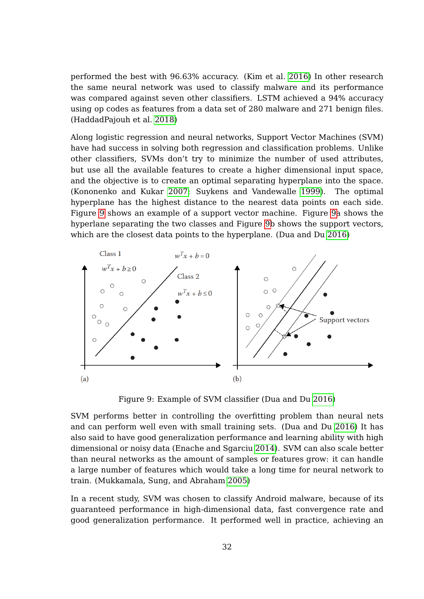performed the best with 96.63% accuracy. (Kim et al. [2016\)](#page-66-1) In other research the same neural network was used to classify malware and its performance was compared against seven other classifiers. LSTM achieved a 94% accuracy using op codes as features from a data set of 280 malware and 271 benign files. (HaddadPajouh et al. [2018\)](#page-65-1)

Along logistic regression and neural networks, Support Vector Machines (SVM) have had success in solving both regression and classification problems. Unlike other classifiers, SVMs don't try to minimize the number of used attributes, but use all the available features to create a higher dimensional input space, and the objective is to create an optimal separating hyperplane into the space. (Kononenko and Kukar [2007;](#page-66-0) Suykens and Vandewalle [1999\)](#page-69-0). The optimal hyperplane has the highest distance to the nearest data points on each side. Figure [9](#page-38-0) shows an example of a support vector machine. Figure [9a](#page-38-0) shows the hyperlane separating the two classes and Figure [9b](#page-38-0) shows the support vectors, which are the closest data points to the hyperplane. (Dua and Du [2016\)](#page-64-1)



<span id="page-38-0"></span>Figure 9: Example of SVM classifier (Dua and Du [2016\)](#page-64-1)

SVM performs better in controlling the overfitting problem than neural nets and can perform well even with small training sets. (Dua and Du [2016\)](#page-64-1) It has also said to have good generalization performance and learning ability with high dimensional or noisy data (Enache and Sgarciu [2014\)](#page-64-2). SVM can also scale better than neural networks as the amount of samples or features grow: it can handle a large number of features which would take a long time for neural network to train. (Mukkamala, Sung, and Abraham [2005\)](#page-67-1)

In a recent study, SVM was chosen to classify Android malware, because of its guaranteed performance in high-dimensional data, fast convergence rate and good generalization performance. It performed well in practice, achieving an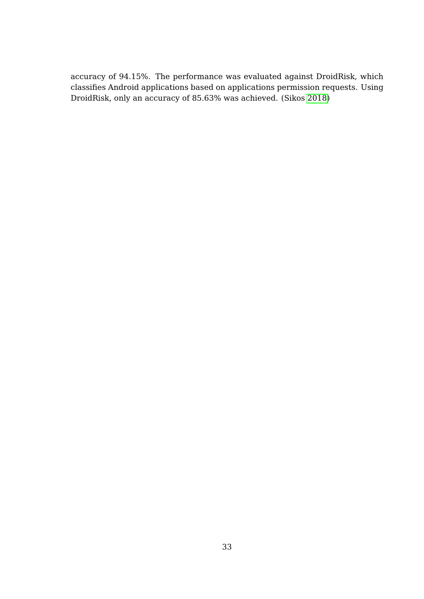accuracy of 94.15%. The performance was evaluated against DroidRisk, which classifies Android applications based on applications permission requests. Using DroidRisk, only an accuracy of 85.63% was achieved. (Sikos [2018\)](#page-69-1)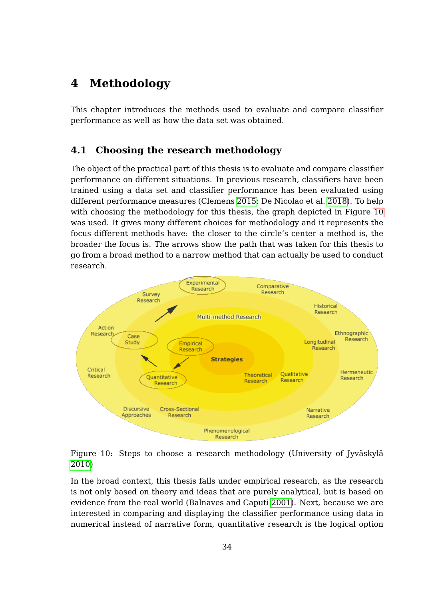## **4 Methodology**

This chapter introduces the methods used to evaluate and compare classifier performance as well as how the data set was obtained.

#### **4.1 Choosing the research methodology**

The object of the practical part of this thesis is to evaluate and compare classifier performance on different situations. In previous research, classifiers have been trained using a data set and classifier performance has been evaluated using different performance measures (Clemens [2015;](#page-63-0) De Nicolao et al. [2018\)](#page-63-1). To help with choosing the methodology for this thesis, the graph depicted in Figure [10](#page-40-0) was used. It gives many different choices for methodology and it represents the focus different methods have: the closer to the circle's center a method is, the broader the focus is. The arrows show the path that was taken for this thesis to go from a broad method to a narrow method that can actually be used to conduct research.



<span id="page-40-0"></span>

In the broad context, this thesis falls under empirical research, as the research is not only based on theory and ideas that are purely analytical, but is based on evidence from the real world (Balnaves and Caputi [2001\)](#page-62-3). Next, because we are interested in comparing and displaying the classifier performance using data in numerical instead of narrative form, quantitative research is the logical option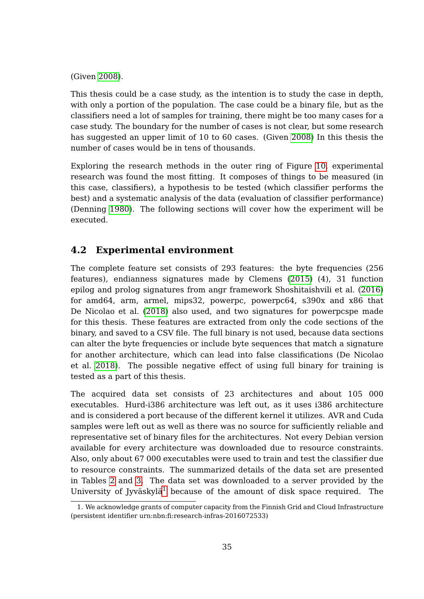(Given [2008\)](#page-65-2).

This thesis could be a case study, as the intention is to study the case in depth, with only a portion of the population. The case could be a binary file, but as the classifiers need a lot of samples for training, there might be too many cases for a case study. The boundary for the number of cases is not clear, but some research has suggested an upper limit of 10 to 60 cases. (Given [2008\)](#page-65-2) In this thesis the number of cases would be in tens of thousands.

Exploring the research methods in the outer ring of Figure [10,](#page-40-0) experimental research was found the most fitting. It composes of things to be measured (in this case, classifiers), a hypothesis to be tested (which classifier performs the best) and a systematic analysis of the data (evaluation of classifier performance) (Denning [1980\)](#page-64-3). The following sections will cover how the experiment will be executed.

### **4.2 Experimental environment**

The complete feature set consists of 293 features: the byte frequencies (256 features), endianness signatures made by Clemens [\(2015\)](#page-63-0) (4), 31 function epilog and prolog signatures from angr framework Shoshitaishvili et al. [\(2016\)](#page-68-1) for amd64, arm, armel, mips32, powerpc, powerpc64, s390x and x86 that De Nicolao et al. [\(2018\)](#page-63-1) also used, and two signatures for powerpcspe made for this thesis. These features are extracted from only the code sections of the binary, and saved to a CSV file. The full binary is not used, because data sections can alter the byte frequencies or include byte sequences that match a signature for another architecture, which can lead into false classifications (De Nicolao et al. [2018\)](#page-63-1). The possible negative effect of using full binary for training is tested as a part of this thesis.

The acquired data set consists of 23 architectures and about 105 000 executables. Hurd-i386 architecture was left out, as it uses i386 architecture and is considered a port because of the different kernel it utilizes. AVR and Cuda samples were left out as well as there was no source for sufficiently reliable and representative set of binary files for the architectures. Not every Debian version available for every architecture was downloaded due to resource constraints. Also, only about 67 000 executables were used to train and test the classifier due to resource constraints. The summarized details of the data set are presented in Tables [2](#page-42-0) and [3.](#page-42-1) The data set was downloaded to a server provided by the University of Jyväskylä<sup>[1](#page-41-0)</sup> because of the amount of disk space required. The

<span id="page-41-0"></span><sup>1.</sup> We acknowledge grants of computer capacity from the Finnish Grid and Cloud Infrastructure (persistent identifier urn:nbn:fi:research-infras-2016072533)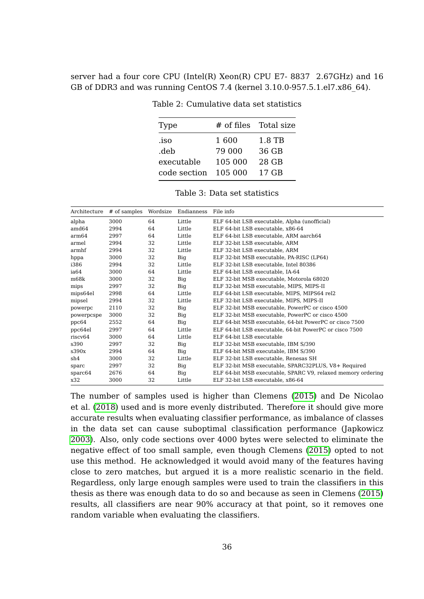server had a four core CPU (Intel(R) Xeon(R) CPU E7- 8837 2.67GHz) and 16 GB of DDR3 and was running CentOS 7.4 (kernel 3.10.0-957.5.1.el7.x86\_64).

| Type         |         | # of files Total size |
|--------------|---------|-----------------------|
| .iso         | 1600    | 1.8 TB                |
| .deb         | 79 000  | 36 GB                 |
| executable   | 105 000 | 28 GB                 |
| code section | 105 000 | 17 GB                 |
|              |         |                       |

<span id="page-42-0"></span>Table 2: Cumulative data set statistics

<span id="page-42-1"></span>Table 3: Data set statistics

| Architecture | # of samples | Wordsize | Endianness | File info                                                    |
|--------------|--------------|----------|------------|--------------------------------------------------------------|
| alpha        | 3000         | 64       | Little     | ELF 64-bit LSB executable, Alpha (unofficial)                |
| amd64        | 2994         | 64       | Little     | ELF 64-bit LSB executable, x86-64                            |
| arm64        | 2997         | 64       | Little     | ELF 64-bit LSB executable, ARM aarch64                       |
| armel        | 2994         | 32       | Little     | ELF 32-bit LSB executable, ARM                               |
| armhf        | 2994         | 32       | Little     | ELF 32-bit LSB executable, ARM                               |
| hppa         | 3000         | 32       | Big        | ELF 32-bit MSB executable, PA-RISC (LP64)                    |
| i386         | 2994         | 32       | Little     | ELF 32-bit LSB executable, Intel 80386                       |
| ia64         | 3000         | 64       | Little     | ELF 64-bit LSB executable, IA-64                             |
| m68k         | 3000         | 32       | Big        | ELF 32-bit MSB executable, Motorola 68020                    |
| mips         | 2997         | 32       | Big        | ELF 32-bit MSB executable, MIPS, MIPS-II                     |
| mips64el     | 2998         | 64       | Little     | ELF 64-bit LSB executable, MIPS, MIPS64 rel2                 |
| mipsel       | 2994         | 32       | Little     | ELF 32-bit LSB executable, MIPS, MIPS-II                     |
| powerpc      | 2110         | 32       | Big        | ELF 32-bit MSB executable, PowerPC or cisco 4500             |
| powerpcspe   | 3000         | 32       | Big        | ELF 32-bit MSB executable, PowerPC or cisco 4500             |
| ppc64        | 2552         | 64       | Big        | ELF 64-bit MSB executable, 64-bit PowerPC or cisco 7500      |
| ppc64el      | 2997         | 64       | Little     | ELF 64-bit LSB executable, 64-bit PowerPC or cisco 7500      |
| riscy64      | 3000         | 64       | Little     | ELF 64-bit LSB executable                                    |
| s390         | 2997         | 32       | Big        | ELF 32-bit MSB executable, IBM S/390                         |
| s390x        | 2994         | 64       | Big        | ELF 64-bit MSB executable, IBM S/390                         |
| sh4          | 3000         | 32       | Little     | ELF 32-bit LSB executable, Renesas SH                        |
| sparc        | 2997         | 32       | Big        | ELF 32-bit MSB executable, SPARC32PLUS, V8+ Required         |
| sparc64      | 2676         | 64       | Big        | ELF 64-bit MSB executable, SPARC V9, relaxed memory ordering |
| x32          | 3000         | 32       | Little     | ELF 32-bit LSB executable, x86-64                            |

The number of samples used is higher than Clemens [\(2015\)](#page-63-0) and De Nicolao et al. [\(2018\)](#page-63-1) used and is more evenly distributed. Therefore it should give more accurate results when evaluating classifier performance, as imbalance of classes in the data set can cause suboptimal classification performance (Japkowicz [2003\)](#page-65-3). Also, only code sections over 4000 bytes were selected to eliminate the negative effect of too small sample, even though Clemens [\(2015\)](#page-63-0) opted to not use this method. He acknowledged it would avoid many of the features having close to zero matches, but argued it is a more realistic scenario in the field. Regardless, only large enough samples were used to train the classifiers in this thesis as there was enough data to do so and because as seen in Clemens [\(2015\)](#page-63-0) results, all classifiers are near 90% accuracy at that point, so it removes one random variable when evaluating the classifiers.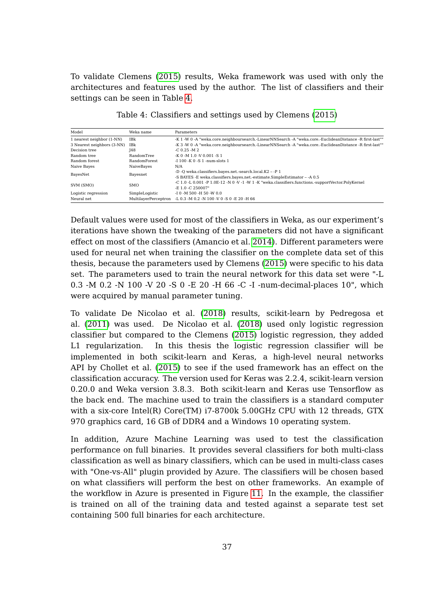To validate Clemens [\(2015\)](#page-63-0) results, Weka framework was used with only the architectures and features used by the author. The list of classifiers and their settings can be seen in Table [4.](#page-43-0)

| Model                      | Weka name         | Parameters                                                                                               |
|----------------------------|-------------------|----------------------------------------------------------------------------------------------------------|
| 1 nearest neighbor (1-NN)  | IBk               | -K 1 -W 0 -A "weka.core.neighboursearch.-LinearNNSearch -A "weka.core.-EuclideanDistance -R first-last"" |
| 3 Nearest neighbors (3-NN) | IBk               | -K 3 -W 0 -A "weka.core.neighboursearch.-LinearNNSearch -A "weka.core.-EuclideanDistance -R first-last"" |
| Decision tree              | <b>148</b>        | $-C.0.25$ -M 2                                                                                           |
| Random tree                | <b>RandomTree</b> | $-K$ 0 -M 1.0 -V 0.001 -S 1                                                                              |
| Random forest              | Random Forest     | $-1100 - K_0 - S_1 - num-slots 1$                                                                        |
| Naive Baves                | NaiveBaves        | N/A                                                                                                      |
|                            |                   | -D -O weka.classifiers.bayes.net.-search.local.K2 - -P 1                                                 |
| BayesNet                   | Bayesnet          | -S BAYES -E weka.classifiers.bayes.net.-estimate.SimpleEstimator - -A 0.5                                |
| SVM (SMO)                  | <b>SMO</b>        | -C 1.0 -L 0.001 -P 1.0E-12 -N 0 -V -1 -W 1 -K "weka.classifiers.functions.-supportVector.PolyKernel      |
|                            |                   | $-E1.0 - C250007"$                                                                                       |
| Logistic regression        | SimpleLogistic    | $-10 - M$ 500 $-H$ 50 $-W$ 0.0                                                                           |
| Neural net                 |                   | MultilaverPerceptron -L 0.3 -M 0.2 -N 100 -V 0 -S 0 -E 20 -H 66                                          |

<span id="page-43-0"></span>Table 4: Classifiers and settings used by Clemens [\(2015\)](#page-63-0)

Default values were used for most of the classifiers in Weka, as our experiment's iterations have shown the tweaking of the parameters did not have a significant effect on most of the classifiers (Amancio et al. [2014\)](#page-62-1). Different parameters were used for neural net when training the classifier on the complete data set of this thesis, because the parameters used by Clemens [\(2015\)](#page-63-0) were specific to his data set. The parameters used to train the neural network for this data set were "-L 0.3 -M 0.2 -N 100 -V 20 -S 0 -E 20 -H 66 -C -I -num-decimal-places 10", which were acquired by manual parameter tuning.

To validate De Nicolao et al. [\(2018\)](#page-63-1) results, scikit-learn by Pedregosa et al. [\(2011\)](#page-67-2) was used. De Nicolao et al. [\(2018\)](#page-63-1) used only logistic regression classifier but compared to the Clemens [\(2015\)](#page-63-0) logistic regression, they added L1 regularization. In this thesis the logistic regression classifier will be implemented in both scikit-learn and Keras, a high-level neural networks API by Chollet et al. [\(2015\)](#page-63-2) to see if the used framework has an effect on the classification accuracy. The version used for Keras was 2.2.4, scikit-learn version 0.20.0 and Weka version 3.8.3. Both scikit-learn and Keras use Tensorflow as the back end. The machine used to train the classifiers is a standard computer with a six-core Intel(R) Core(TM) i7-8700k 5.00GHz CPU with 12 threads, GTX 970 graphics card, 16 GB of DDR4 and a Windows 10 operating system.

In addition, Azure Machine Learning was used to test the classification performance on full binaries. It provides several classifiers for both multi-class classification as well as binary classifiers, which can be used in multi-class cases with "One-vs-All" plugin provided by Azure. The classifiers will be chosen based on what classifiers will perform the best on other frameworks. An example of the workflow in Azure is presented in Figure [11.](#page-44-0) In the example, the classifier is trained on all of the training data and tested against a separate test set containing 500 full binaries for each architecture.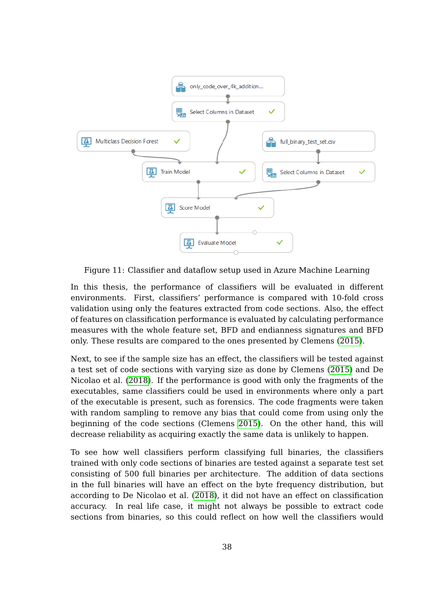

<span id="page-44-0"></span>Figure 11: Classifier and dataflow setup used in Azure Machine Learning

In this thesis, the performance of classifiers will be evaluated in different environments. First, classifiers' performance is compared with 10-fold cross validation using only the features extracted from code sections. Also, the effect of features on classification performance is evaluated by calculating performance measures with the whole feature set, BFD and endianness signatures and BFD only. These results are compared to the ones presented by Clemens [\(2015\)](#page-63-0).

Next, to see if the sample size has an effect, the classifiers will be tested against a test set of code sections with varying size as done by Clemens [\(2015\)](#page-63-0) and De Nicolao et al. [\(2018\)](#page-63-1). If the performance is good with only the fragments of the executables, same classifiers could be used in environments where only a part of the executable is present, such as forensics. The code fragments were taken with random sampling to remove any bias that could come from using only the beginning of the code sections (Clemens [2015\)](#page-63-0). On the other hand, this will decrease reliability as acquiring exactly the same data is unlikely to happen.

To see how well classifiers perform classifying full binaries, the classifiers trained with only code sections of binaries are tested against a separate test set consisting of 500 full binaries per architecture. The addition of data sections in the full binaries will have an effect on the byte frequency distribution, but according to De Nicolao et al. [\(2018\)](#page-63-1), it did not have an effect on classification accuracy. In real life case, it might not always be possible to extract code sections from binaries, so this could reflect on how well the classifiers would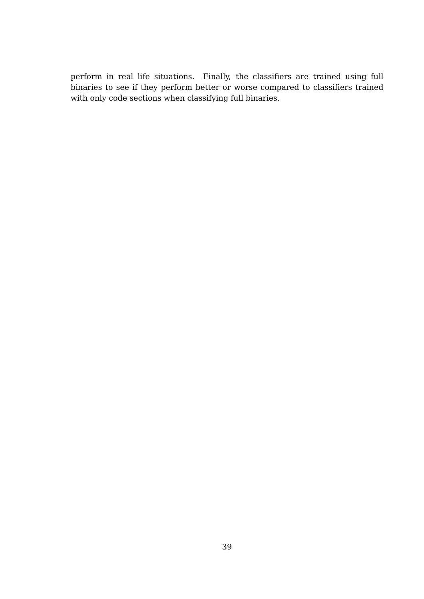perform in real life situations. Finally, the classifiers are trained using full binaries to see if they perform better or worse compared to classifiers trained with only code sections when classifying full binaries.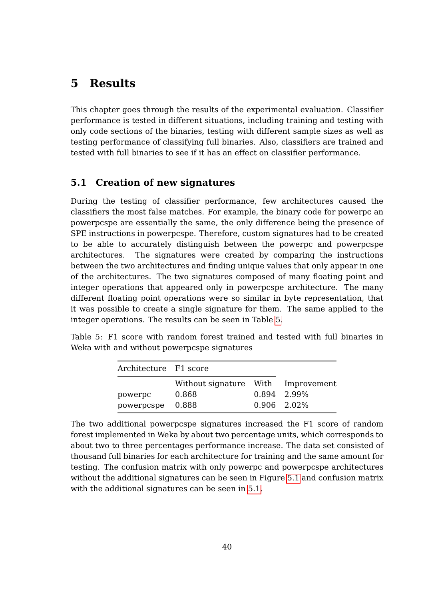# **5 Results**

This chapter goes through the results of the experimental evaluation. Classifier performance is tested in different situations, including training and testing with only code sections of the binaries, testing with different sample sizes as well as testing performance of classifying full binaries. Also, classifiers are trained and tested with full binaries to see if it has an effect on classifier performance.

### **5.1 Creation of new signatures**

During the testing of classifier performance, few architectures caused the classifiers the most false matches. For example, the binary code for powerpc an powerpcspe are essentially the same, the only difference being the presence of SPE instructions in powerpcspe. Therefore, custom signatures had to be created to be able to accurately distinguish between the powerpc and powerpcspe architectures. The signatures were created by comparing the instructions between the two architectures and finding unique values that only appear in one of the architectures. The two signatures composed of many floating point and integer operations that appeared only in powerpcspe architecture. The many different floating point operations were so similar in byte representation, that it was possible to create a single signature for them. The same applied to the integer operations. The results can be seen in Table [5.](#page-46-0)

Table 5: F1 score with random forest trained and tested with full binaries in Weka with and without powerpcspe signatures

<span id="page-46-0"></span>

| Architecture F1 score |                                                      |                              |
|-----------------------|------------------------------------------------------|------------------------------|
| powerpc<br>powerpcspe | Without signature With Improvement<br>0.868<br>0.888 | 0.894 2.99%<br>$0.906$ 2.02% |

The two additional powerpcspe signatures increased the F1 score of random forest implemented in Weka by about two percentage units, which corresponds to about two to three percentages performance increase. The data set consisted of thousand full binaries for each architecture for training and the same amount for testing. The confusion matrix with only powerpc and powerpcspe architectures without the additional signatures can be seen in Figure [5.1](#page-46-0) and confusion matrix with the additional signatures can be seen in [5.1.](#page-47-0)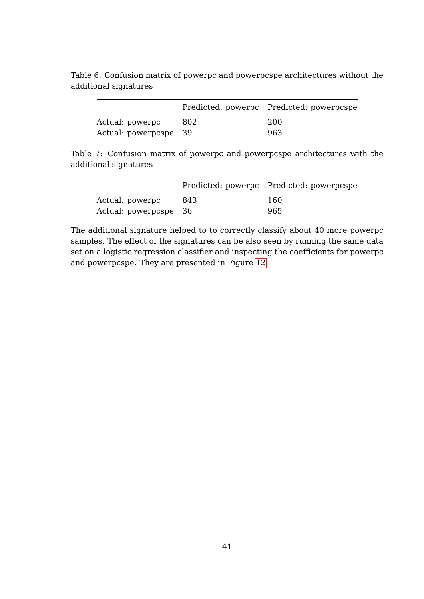<span id="page-47-0"></span>

|                       |     | Predicted: powerpc Predicted: powerpcspe |
|-----------------------|-----|------------------------------------------|
| Actual: powerpc       | 802 | 200                                      |
| Actual: powerpcspe 39 |     | 963                                      |

Table 6: Confusion matrix of powerpc and powerpcspe architectures without the additional signatures

Table 7: Confusion matrix of powerpc and powerpcspe architectures with the additional signatures

|                       |     | Predicted: powerpc Predicted: powerpcspe |
|-----------------------|-----|------------------------------------------|
| Actual: powerpc       | 843 | 160                                      |
| Actual: powerpcspe 36 |     | 965                                      |

The additional signature helped to to correctly classify about 40 more powerpc samples. The effect of the signatures can be also seen by running the same data set on a logistic regression classifier and inspecting the coefficients for powerpc and powerpcspe. They are presented in Figure [12.](#page-48-0)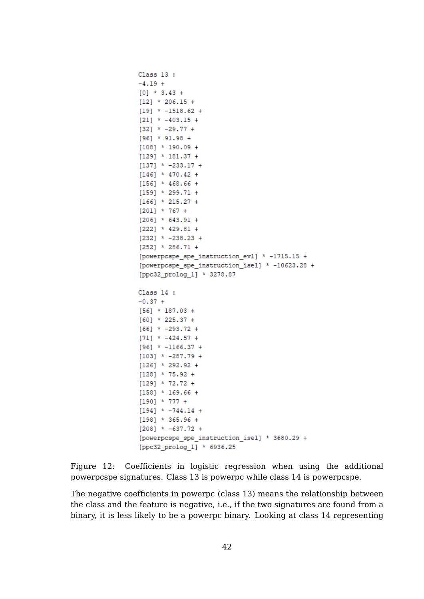```
Class 13 :
-4.19 +[0] * 3.43 +
[12] * 206.15 +
[19] * -1518.62 +
[21] * -403.15 +
[32] * -29.77 +
[96] * 91.98 +
[108] * 190.09 +
[129] * 181.37 +
[137] * -233.17 +
[146] * 470.42 +
[156] * 468.66 +
[159] * 299.71 +
[166] * 215.27 +
[201] * 767 +
[206] * 643.91 +
[222] * 429.81 +
[232] * -238.23 +
[252] * 286.71 +
[powerpcspe_spe_instruction_evl] * -1715.15 +
[powerpospe spe instruction isel] * -10623.28 +
[ppc32 prolog 1] * 3278.87
Class 14 :
-0.37 +[56] * 187.03 +
[60] * 225.37 +
[66] * -293.72 +
[71] * -424.57 +
[96] * -1166.37 +
[103] * -287.79 +
[126] * 292.92 +
[128] * 75.92 +
[129] * 72.72 +
[158] * 169.66 +
[190] * 777 +
[194] * -744.14 +
[198] * 365.96 +
[208] * -637.72 +
[powerpcspe_spe_instruction_isel] * 3680.29 +
[ppc32_prolog_1] * 6936.25
```
<span id="page-48-0"></span>Figure 12: Coefficients in logistic regression when using the additional powerpcspe signatures. Class 13 is powerpc while class 14 is powerpcspe.

The negative coefficients in powerpc (class 13) means the relationship between the class and the feature is negative, i.e., if the two signatures are found from a binary, it is less likely to be a powerpc binary. Looking at class 14 representing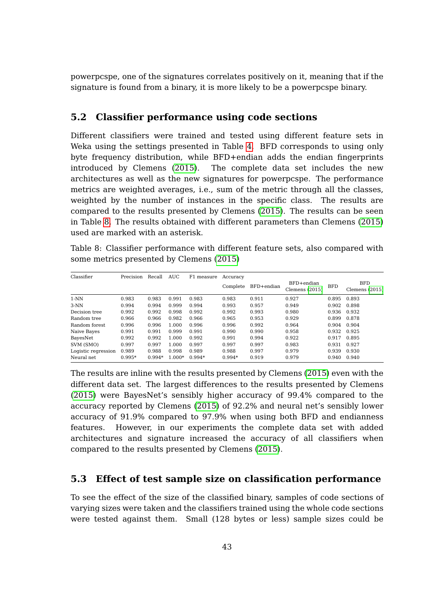powerpcspe, one of the signatures correlates positively on it, meaning that if the signature is found from a binary, it is more likely to be a powerpcspe binary.

#### **5.2 Classifier performance using code sections**

Different classifiers were trained and tested using different feature sets in Weka using the settings presented in Table [4.](#page-43-0) BFD corresponds to using only byte frequency distribution, while BFD+endian adds the endian fingerprints introduced by Clemens [\(2015\)](#page-63-0). The complete data set includes the new architectures as well as the new signatures for powerpcspe. The performance metrics are weighted averages, i.e., sum of the metric through all the classes, weighted by the number of instances in the specific class. The results are compared to the results presented by Clemens [\(2015\)](#page-63-0). The results can be seen in Table [8.](#page-49-0) The results obtained with different parameters than Clemens [\(2015\)](#page-63-0) used are marked with an asterisk.

<span id="page-49-0"></span>Table 8: Classifier performance with different feature sets, also compared with some metrics presented by Clemens [\(2015\)](#page-63-0)

| Classifier          | Precision | Recall   | <b>AUC</b> | F1 measure | Accuracy |            |                                |            |                                |
|---------------------|-----------|----------|------------|------------|----------|------------|--------------------------------|------------|--------------------------------|
|                     |           |          |            |            | Complete | BFD+endian | BFD+endian<br>Clemens $(2015)$ | <b>BFD</b> | <b>BFD</b><br>Clemens $(2015)$ |
| $1-NN$              | 0.983     | 0.983    | 0.991      | 0.983      | 0.983    | 0.911      | 0.927                          | 0.895      | 0.893                          |
| $3-NN$              | 0.994     | 0.994    | 0.999      | 0.994      | 0.993    | 0.957      | 0.949                          | 0.902      | 0.898                          |
| Decision tree       | 0.992     | 0.992    | 0.998      | 0.992      | 0.992    | 0.993      | 0.980                          | 0.936      | 0.932                          |
| Random tree         | 0.966     | 0.966    | 0.982      | 0.966      | 0.965    | 0.953      | 0.929                          | 0.899      | 0.878                          |
| Random forest       | 0.996     | 0.996    | 1.000      | 0.996      | 0.996    | 0.992      | 0.964                          | 0.904      | 0.904                          |
| Naive Bayes         | 0.991     | 0.991    | 0.999      | 0.991      | 0.990    | 0.990      | 0.958                          | 0.932      | 0.925                          |
| BayesNet            | 0.992     | 0.992    | 1.000      | 0.992      | 0.991    | 0.994      | 0.922                          | 0.917      | 0.895                          |
| SVM (SMO)           | 0.997     | 0.997    | 1.000      | 0.997      | 0.997    | 0.997      | 0.983                          | 0.931      | 0.927                          |
| Logistic regression | 0.989     | 0.988    | 0.998      | 0.989      | 0.988    | 0.997      | 0.979                          | 0.939      | 0.930                          |
| Neural net          | $0.995*$  | $0.994*$ | $1.000*$   | $0.994*$   | $0.994*$ | 0.919      | 0.979                          | 0.940      | 0.940                          |

The results are inline with the results presented by Clemens [\(2015\)](#page-63-0) even with the different data set. The largest differences to the results presented by Clemens [\(2015\)](#page-63-0) were BayesNet's sensibly higher accuracy of 99.4% compared to the accuracy reported by Clemens [\(2015\)](#page-63-0) of 92.2% and neural net's sensibly lower accuracy of 91.9% compared to 97.9% when using both BFD and endianness features. However, in our experiments the complete data set with added architectures and signature increased the accuracy of all classifiers when compared to the results presented by Clemens [\(2015\)](#page-63-0).

#### **5.3 Effect of test sample size on classification performance**

To see the effect of the size of the classified binary, samples of code sections of varying sizes were taken and the classifiers trained using the whole code sections were tested against them. Small (128 bytes or less) sample sizes could be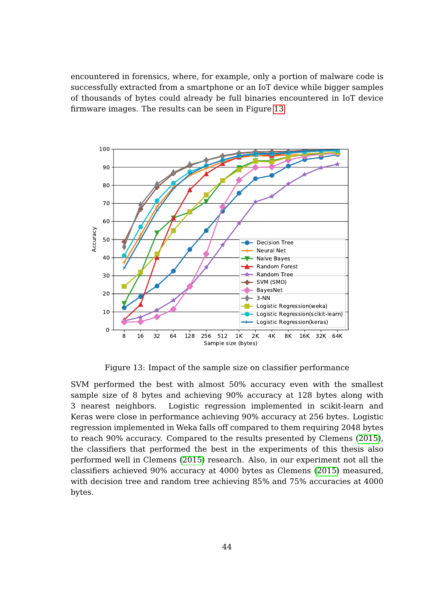encountered in forensics, where, for example, only a portion of malware code is successfully extracted from a smartphone or an IoT device while bigger samples of thousands of bytes could already be full binaries encountered in IoT device firmware images. The results can be seen in Figure [13](#page-50-0)



<span id="page-50-0"></span>Figure 13: Impact of the sample size on classifier performance

SVM performed the best with almost 50% accuracy even with the smallest sample size of 8 bytes and achieving 90% accuracy at 128 bytes along with 3 nearest neighbors. Logistic regression implemented in scikit-learn and Keras were close in performance achieving 90% accuracy at 256 bytes. Logistic regression implemented in Weka falls off compared to them requiring 2048 bytes to reach 90% accuracy. Compared to the results presented by Clemens [\(2015\)](#page-63-0), the classifiers that performed the best in the experiments of this thesis also performed well in Clemens [\(2015\)](#page-63-0) research. Also, in our experiment not all the classifiers achieved 90% accuracy at 4000 bytes as Clemens [\(2015\)](#page-63-0) measured, with decision tree and random tree achieving 85% and 75% accuracies at 4000 bytes.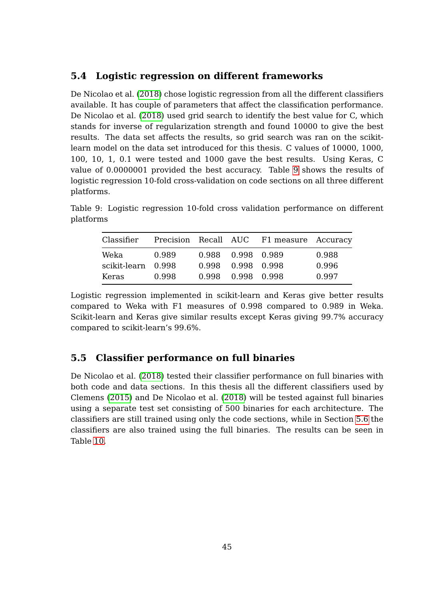### **5.4 Logistic regression on different frameworks**

De Nicolao et al. [\(2018\)](#page-63-1) chose logistic regression from all the different classifiers available. It has couple of parameters that affect the classification performance. De Nicolao et al. [\(2018\)](#page-63-1) used grid search to identify the best value for C, which stands for inverse of regularization strength and found 10000 to give the best results. The data set affects the results, so grid search was ran on the scikitlearn model on the data set introduced for this thesis. C values of 10000, 1000, 100, 10, 1, 0.1 were tested and 1000 gave the best results. Using Keras, C value of 0.0000001 provided the best accuracy. Table [9](#page-51-0) shows the results of logistic regression 10-fold cross-validation on code sections on all three different platforms.

Table 9: Logistic regression 10-fold cross validation performance on different platforms

<span id="page-51-0"></span>

| Classifier         |       |       |                   | Precision Recall AUC F1 measure Accuracy |       |
|--------------------|-------|-------|-------------------|------------------------------------------|-------|
| Weka               | 0.989 |       | 0.988 0.998 0.989 |                                          | 0.988 |
| scikit-learn 0.998 |       | 0.998 | 0.998 0.998       |                                          | 0.996 |
| Keras              | 0.998 | 0.998 | 0.998 0.998       |                                          | 0.997 |

Logistic regression implemented in scikit-learn and Keras give better results compared to Weka with F1 measures of 0.998 compared to 0.989 in Weka. Scikit-learn and Keras give similar results except Keras giving 99.7% accuracy compared to scikit-learn's 99.6%.

### **5.5 Classifier performance on full binaries**

De Nicolao et al. [\(2018\)](#page-63-1) tested their classifier performance on full binaries with both code and data sections. In this thesis all the different classifiers used by Clemens [\(2015\)](#page-63-0) and De Nicolao et al. [\(2018\)](#page-63-1) will be tested against full binaries using a separate test set consisting of 500 binaries for each architecture. The classifiers are still trained using only the code sections, while in Section [5.6](#page-54-0) the classifiers are also trained using the full binaries. The results can be seen in Table [10.](#page-52-0)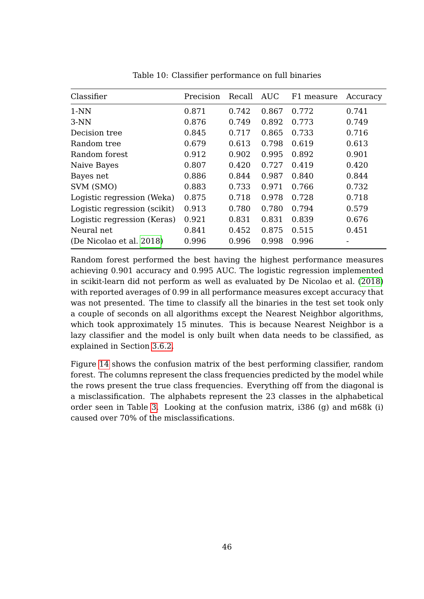| Classifier                   | Precision | Recall | AUC   | F1 measure | Accuracy |
|------------------------------|-----------|--------|-------|------------|----------|
| $1-NN$                       | 0.871     | 0.742  | 0.867 | 0.772      | 0.741    |
| $3-NN$                       | 0.876     | 0.749  | 0.892 | 0.773      | 0.749    |
| Decision tree                | 0.845     | 0.717  | 0.865 | 0.733      | 0.716    |
| Random tree                  | 0.679     | 0.613  | 0.798 | 0.619      | 0.613    |
| Random forest                | 0.912     | 0.902  | 0.995 | 0.892      | 0.901    |
| Naive Bayes                  | 0.807     | 0.420  | 0.727 | 0.419      | 0.420    |
| Bayes net                    | 0.886     | 0.844  | 0.987 | 0.840      | 0.844    |
| SVM (SMO)                    | 0.883     | 0.733  | 0.971 | 0.766      | 0.732    |
| Logistic regression (Weka)   | 0.875     | 0.718  | 0.978 | 0.728      | 0.718    |
| Logistic regression (scikit) | 0.913     | 0.780  | 0.780 | 0.794      | 0.579    |
| Logistic regression (Keras)  | 0.921     | 0.831  | 0.831 | 0.839      | 0.676    |
| Neural net                   | 0.841     | 0.452  | 0.875 | 0.515      | 0.451    |
| (De Nicolao et al. 2018)     | 0.996     | 0.996  | 0.998 | 0.996      |          |

<span id="page-52-0"></span>Table 10: Classifier performance on full binaries

Random forest performed the best having the highest performance measures achieving 0.901 accuracy and 0.995 AUC. The logistic regression implemented in scikit-learn did not perform as well as evaluated by De Nicolao et al. [\(2018\)](#page-63-1) with reported averages of 0.99 in all performance measures except accuracy that was not presented. The time to classify all the binaries in the test set took only a couple of seconds on all algorithms except the Nearest Neighbor algorithms, which took approximately 15 minutes. This is because Nearest Neighbor is a lazy classifier and the model is only built when data needs to be classified, as explained in Section [3.6.2.](#page-33-0)

Figure [14](#page-53-0) shows the confusion matrix of the best performing classifier, random forest. The columns represent the class frequencies predicted by the model while the rows present the true class frequencies. Everything off from the diagonal is a misclassification. The alphabets represent the 23 classes in the alphabetical order seen in Table [3.](#page-42-1) Looking at the confusion matrix, i386 (g) and m68k (i) caused over 70% of the misclassifications.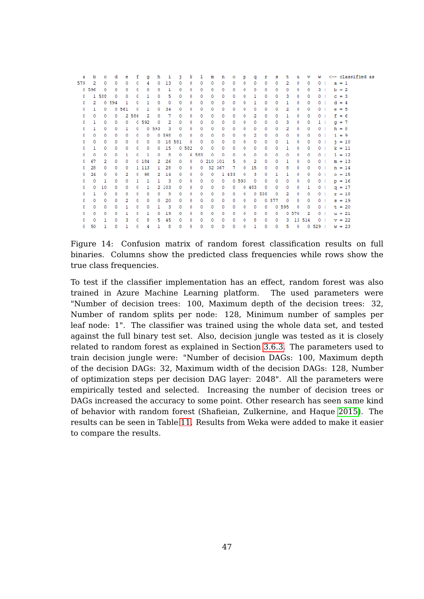| a   | b     | с     | d     | е     | f     | a       | h            | 1     | ٦      | ĸ          | ı     | m         | n          | ۰     | р     | q     | r     | s     | τ          | u          | v      | w              |         | <-- classified as |  |
|-----|-------|-------|-------|-------|-------|---------|--------------|-------|--------|------------|-------|-----------|------------|-------|-------|-------|-------|-------|------------|------------|--------|----------------|---------|-------------------|--|
| 579 | 2     | ٥     | ٥     | 0.    | ٥     | 4       | 0.           | 13    | ٥      | 0          | ٥     | ٥         | 0          | ٥     | 0     | ٥     | ٥     | ٥     | 2          | ٥          | 0      | 0 <sub>1</sub> | $a = 1$ |                   |  |
|     | 0.596 | o     | 0     | 0     | 0     | 0       | 0            | 1     | 0      | 0          | 0     | 0         | 0          | 0     | 0     | 0.    | 0     | 0     | 0          | 0          | 0      | 3 I            | $b = 2$ |                   |  |
| 0   |       | 1 588 | ٥     | ٥     | 0     | 1       | 0            | 5     | ٥      | ٥          | ٥     | ٥         | ٥          | ٥     | ٥     | 1     | ٥     | ٥     | 3          | 0          | 0      | 0 <sub>1</sub> | $c = 3$ |                   |  |
| ٥   | 2     |       | 0.594 | 1     | 0     | 1       | 0            | 0     | 0      | 0          | 0     | 0         | 0          | 0     | 0     | 1     | 0     | 0     | 1.         | 0          | 0      | 0 <sub>1</sub> | $d = 4$ |                   |  |
| ٥   | Т.    | 0     |       | 0.561 | 0     | 1       | 0            | 34    | ٥      | 0          | 0     | 0         | 0          | ٥     | 0     | 0     | ٥     | ٥     | 2          | 0          | 0      | 0 <sub>1</sub> | $e = 5$ |                   |  |
| ٥   | 0     | ٥     | 0     |       | 2 586 | 2       | 0            | 7     | ٥      | ٥          | ٥     | ٥         | 0          | ٥     | ٥     | 2     | ٥     | ٥     | 1          | ٥          | 0      | 0 <sub>1</sub> | $f = 6$ |                   |  |
| ٥   | 1     | 0     | 0     | 0     |       | 0.592   | $^{\circ}$   | 2     | 0      | 0          | 0     | 0         | 0          | 0     | 0     | 0     | 0     | 0     | 3          | 0          | 0      | 1 <sub>1</sub> | $q = 7$ |                   |  |
| ٥   | п.    | ٥     | 0     | Т.    | o     |         | 0.593        | 3     | 0      | 0          | ٥     | 0         | 0          | ٥     | 0     | ٥     | ٥     | 0     | 2          | ٥          | 0      | 0 <sub>1</sub> | $h = 8$ |                   |  |
| ٥   | 0     | ٥     | 0     | 0     | 0     | 0       |              | 0.598 | 0      | 0          | 0     | 0         | 0          | 0     | 0     | 2     | 0     | 0     | 0.         | 0          | 0      | 0 <sub>1</sub> | $i = 9$ |                   |  |
| ٥   | 0     | ٥     | ٥     | 0     | 0     | 0       | $^{\circ}$   |       | 18 581 | $^{\circ}$ | ٥     | 0         | 0          | ٥     | 0     | 0     | ٥     | 0     | 1          | 0          | 0      | 0 <sub>1</sub> |         | $1 = 10$          |  |
| ٥   | 1     | ٥     | ٥     | ٥     | ٥     | 0       | 0            | 15    |        | 0.582      | ٥     | ٥         | $^{\circ}$ | ٥     | 0     | ٥     | ٥     | ٥     | 1          | ٥          | 0      | 0 <sub>1</sub> |         | $k = 11$          |  |
| ٥   | 0     | ٥     | 0     |       | 0     | 1       | 0            | 8     | 0      |            | 6 583 | 0         | 0          | 0     | 0     | 0     | ٥     | ٥     | 0          | 0          | 0      | 0 <sub>1</sub> |         | $1 = 12$          |  |
| ٥   | 67    | 2     | ٥     | 0     |       | 0,184   | 2            | 26    | ٥      | $^{\circ}$ |       | 0 210 101 |            | 5     | ٥     | 2     | ٥     | ٥     | 1          | ٥          | 0      | 0 <sub>1</sub> |         | $m = 13$          |  |
| 0.  | 28    | ٥     | 0     | 0.    |       | 1 1 1 3 | $\mathbf{1}$ | 28    | 0      | 0          | 0     |           | 32 367     | 7     | 0.    | 15    | 0     | 0     | 8          | 0          | 0      | 0 <sub>1</sub> |         | $n = 14$          |  |
| 0   | 24    | ٥     | 0     | 2     | ٥     | 98      | 2            | 14    | 0      | ٥          | 0     | 0.        |            | 1 433 | ٥     | 3     | ٥     | 1.    | 1          | 0          | 0      | 0 <sub>1</sub> |         | $o = 15$          |  |
| ٥   | ٥     | 1     | ٥     | 0.    | 1     | 1       | $\mathbf{1}$ | з     | ٥      | ٥          | 0     | 0         | 0          |       | 0.593 | 0     | 0     | ٥     | 0          | ٥          | 0      | 0 <sub>1</sub> |         | $p = 16$          |  |
| 0.  | 0.    | 10    | 0     | 0     | 0     | 1       |              | 2 103 | 0      | 0          | 0     | 0         | 0          | 0     |       | 0.483 | ٥     | 0     | 0          | 0          | 1      | 0 <sub>1</sub> |         | $q = 17$          |  |
| ٥   | 1.    | ٥     | ٥     | ٥     | ٥     | ٥       | ٥            | 9     | ٥      | 0          | ٥     | ٥         | 0          | 0     | 0     |       | 0.588 | ٥     | 2          | ٥          | 0      | 0 <sub>1</sub> |         | $r = 18$          |  |
| 0   | ٥     | ٥     | ٥     | 2     | 0     | 0       | 0.           | 20    | ٥      | ٥          | ٥     | 0         | 0          | ٥     | 0     | 0     |       | 0.577 | $^{\circ}$ | 0          | 0      | 0 <sub>1</sub> |         | $s = 19$          |  |
| ٥   | 0     | ٥     | o     | 1     | 0     | ٥       | т.           | 3     | ٥      | ٥          | ٥     | 0         | 0          | ٥     | ٥     | ٥     | ٥     |       | 0 5 9 5    | ٥          | 0      | 0 <sub>1</sub> |         | $t = 20$          |  |
| ٥   | 0     | ٥     | 0     | 1.    | o     | 1       | 0            | 19    | ٥      | 0          | ٥     | 0         | 0          | ٥     | 0     | 0     | 0     | 0.    |            | 0.576      | 2      | 0 <sub>1</sub> |         | $u = 21$          |  |
| ٥   | 0     | ı     | 0     | 3     | 0     | 8       | 5            | 45    | ٥      | 0          | 0     | 0         | 0          | 0     | 0     | 8     | 0     | 0     | 3.         |            | 13 514 | 0 <sub>1</sub> |         | $v = 22$          |  |
| 0.  | 50    | ı     | ٥     | 1.    | ٥     | 4       | 1.           | 8     | 0      | ٥          | ٥     | ٥         | 0          | ٥     | 0     | 1     | ٥     | ٥     | 5.         | $^{\circ}$ |        | $0.529$ $\pm$  |         | $w = 23$          |  |

<span id="page-53-0"></span>Figure 14: Confusion matrix of random forest classification results on full binaries. Columns show the predicted class frequencies while rows show the true class frequencies.

To test if the classifier implementation has an effect, random forest was also trained in Azure Machine Learning platform. The used parameters were "Number of decision trees: 100, Maximum depth of the decision trees: 32, Number of random splits per node: 128, Minimum number of samples per leaf node: 1". The classifier was trained using the whole data set, and tested against the full binary test set. Also, decision jungle was tested as it is closely related to random forest as explained in Section [3.6.3.](#page-34-0) The parameters used to train decision jungle were: "Number of decision DAGs: 100, Maximum depth of the decision DAGs: 32, Maximum width of the decision DAGs: 128, Number of optimization steps per decision DAG layer: 2048". All the parameters were empirically tested and selected. Increasing the number of decision trees or DAGs increased the accuracy to some point. Other research has seen same kind of behavior with random forest (Shafieian, Zulkernine, and Haque [2015\)](#page-68-0). The results can be seen in Table [11.](#page-54-1) Results from Weka were added to make it easier to compare the results.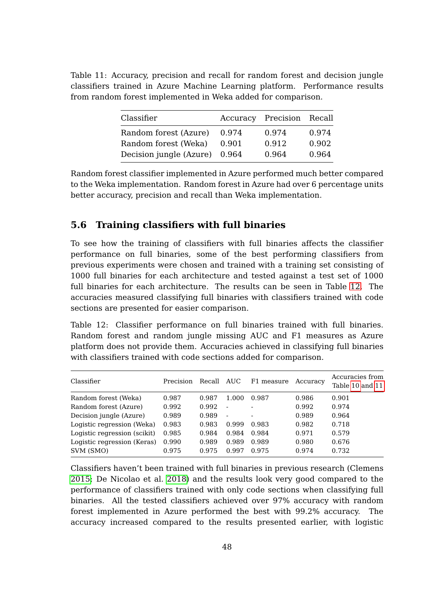<span id="page-54-1"></span>Table 11: Accuracy, precision and recall for random forest and decision jungle classifiers trained in Azure Machine Learning platform. Performance results from random forest implemented in Weka added for comparison.

| Classifier              |       | Accuracy Precision Recall |       |
|-------------------------|-------|---------------------------|-------|
| Random forest (Azure)   | 0.974 | 0.974                     | 0.974 |
| Random forest (Weka)    | 0.901 | 0.912                     | 0.902 |
| Decision jungle (Azure) | 0.964 | 0.964                     | 0.964 |

Random forest classifier implemented in Azure performed much better compared to the Weka implementation. Random forest in Azure had over 6 percentage units better accuracy, precision and recall than Weka implementation.

#### <span id="page-54-0"></span>**5.6 Training classifiers with full binaries**

To see how the training of classifiers with full binaries affects the classifier performance on full binaries, some of the best performing classifiers from previous experiments were chosen and trained with a training set consisting of 1000 full binaries for each architecture and tested against a test set of 1000 full binaries for each architecture. The results can be seen in Table [12.](#page-54-2) The accuracies measured classifying full binaries with classifiers trained with code sections are presented for easier comparison.

<span id="page-54-2"></span>Table 12: Classifier performance on full binaries trained with full binaries. Random forest and random jungle missing AUC and F1 measures as Azure platform does not provide them. Accuracies achieved in classifying full binaries with classifiers trained with code sections added for comparison.

| Classifier                   | Precision | Recall | AUC                      | F1 measure               | Accuracy | Accuracies from<br>Table 10 and 11 |
|------------------------------|-----------|--------|--------------------------|--------------------------|----------|------------------------------------|
| Random forest (Weka)         | 0.987     | 0.987  | 1.000                    | 0.987                    | 0.986    | 0.901                              |
| Random forest (Azure)        | 0.992     | 0.992  | $\blacksquare$           |                          | 0.992    | 0.974                              |
| Decision jungle (Azure)      | 0.989     | 0.989  | $\overline{\phantom{a}}$ | $\overline{\phantom{0}}$ | 0.989    | 0.964                              |
| Logistic regression (Weka)   | 0.983     | 0.983  | 0.999                    | 0.983                    | 0.982    | 0.718                              |
| Logistic regression (scikit) | 0.985     | 0.984  | 0.984                    | 0.984                    | 0.971    | 0.579                              |
| Logistic regression (Keras)  | 0.990     | 0.989  | 0.989                    | 0.989                    | 0.980    | 0.676                              |
| SVM (SMO)                    | 0.975     | 0.975  | 0.997                    | 0.975                    | 0.974    | 0.732                              |

Classifiers haven't been trained with full binaries in previous research (Clemens [2015;](#page-63-0) De Nicolao et al. [2018\)](#page-63-1) and the results look very good compared to the performance of classifiers trained with only code sections when classifying full binaries. All the tested classifiers achieved over 97% accuracy with random forest implemented in Azure performed the best with 99.2% accuracy. The accuracy increased compared to the results presented earlier, with logistic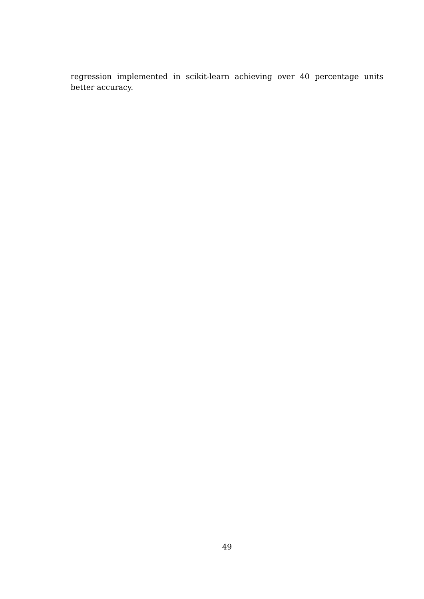regression implemented in scikit-learn achieving over 40 percentage units better accuracy.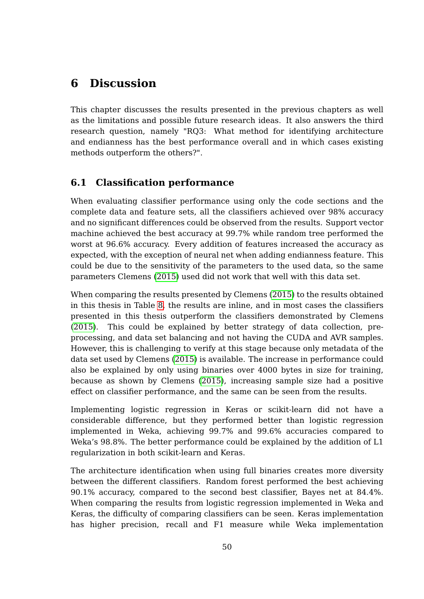# **6 Discussion**

This chapter discusses the results presented in the previous chapters as well as the limitations and possible future research ideas. It also answers the third research question, namely "RQ3: What method for identifying architecture and endianness has the best performance overall and in which cases existing methods outperform the others?".

### **6.1 Classification performance**

When evaluating classifier performance using only the code sections and the complete data and feature sets, all the classifiers achieved over 98% accuracy and no significant differences could be observed from the results. Support vector machine achieved the best accuracy at 99.7% while random tree performed the worst at 96.6% accuracy. Every addition of features increased the accuracy as expected, with the exception of neural net when adding endianness feature. This could be due to the sensitivity of the parameters to the used data, so the same parameters Clemens [\(2015\)](#page-63-0) used did not work that well with this data set.

When comparing the results presented by Clemens [\(2015\)](#page-63-0) to the results obtained in this thesis in Table [8,](#page-49-0) the results are inline, and in most cases the classifiers presented in this thesis outperform the classifiers demonstrated by Clemens [\(2015\)](#page-63-0). This could be explained by better strategy of data collection, preprocessing, and data set balancing and not having the CUDA and AVR samples. However, this is challenging to verify at this stage because only metadata of the data set used by Clemens [\(2015\)](#page-63-0) is available. The increase in performance could also be explained by only using binaries over 4000 bytes in size for training, because as shown by Clemens [\(2015\)](#page-63-0), increasing sample size had a positive effect on classifier performance, and the same can be seen from the results.

Implementing logistic regression in Keras or scikit-learn did not have a considerable difference, but they performed better than logistic regression implemented in Weka, achieving 99.7% and 99.6% accuracies compared to Weka's 98.8%. The better performance could be explained by the addition of L1 regularization in both scikit-learn and Keras.

The architecture identification when using full binaries creates more diversity between the different classifiers. Random forest performed the best achieving 90.1% accuracy, compared to the second best classifier, Bayes net at 84.4%. When comparing the results from logistic regression implemented in Weka and Keras, the difficulty of comparing classifiers can be seen. Keras implementation has higher precision, recall and F1 measure while Weka implementation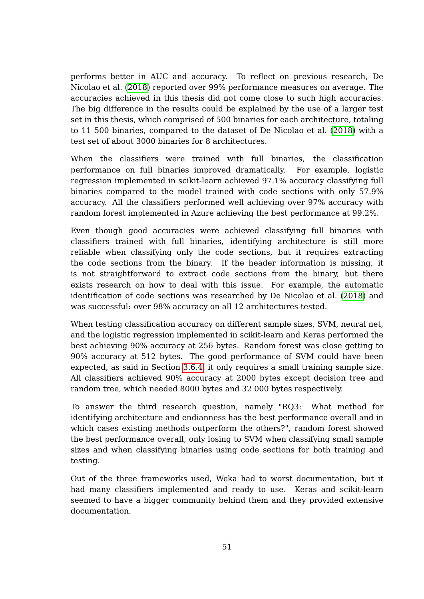performs better in AUC and accuracy. To reflect on previous research, De Nicolao et al. [\(2018\)](#page-63-1) reported over 99% performance measures on average. The accuracies achieved in this thesis did not come close to such high accuracies. The big difference in the results could be explained by the use of a larger test set in this thesis, which comprised of 500 binaries for each architecture, totaling to 11 500 binaries, compared to the dataset of De Nicolao et al. [\(2018\)](#page-63-1) with a test set of about 3000 binaries for 8 architectures.

When the classifiers were trained with full binaries, the classification performance on full binaries improved dramatically. For example, logistic regression implemented in scikit-learn achieved 97.1% accuracy classifying full binaries compared to the model trained with code sections with only 57.9% accuracy. All the classifiers performed well achieving over 97% accuracy with random forest implemented in Azure achieving the best performance at 99.2%.

Even though good accuracies were achieved classifying full binaries with classifiers trained with full binaries, identifying architecture is still more reliable when classifying only the code sections, but it requires extracting the code sections from the binary. If the header information is missing, it is not straightforward to extract code sections from the binary, but there exists research on how to deal with this issue. For example, the automatic identification of code sections was researched by De Nicolao et al. [\(2018\)](#page-63-1) and was successful: over 98% accuracy on all 12 architectures tested.

When testing classification accuracy on different sample sizes, SVM, neural net, and the logistic regression implemented in scikit-learn and Keras performed the best achieving 90% accuracy at 256 bytes. Random forest was close getting to 90% accuracy at 512 bytes. The good performance of SVM could have been expected, as said in Section [3.6.4,](#page-36-1) it only requires a small training sample size. All classifiers achieved 90% accuracy at 2000 bytes except decision tree and random tree, which needed 8000 bytes and 32 000 bytes respectively.

To answer the third research question, namely "RQ3: What method for identifying architecture and endianness has the best performance overall and in which cases existing methods outperform the others?", random forest showed the best performance overall, only losing to SVM when classifying small sample sizes and when classifying binaries using code sections for both training and testing.

Out of the three frameworks used, Weka had to worst documentation, but it had many classifiers implemented and ready to use. Keras and scikit-learn seemed to have a bigger community behind them and they provided extensive documentation.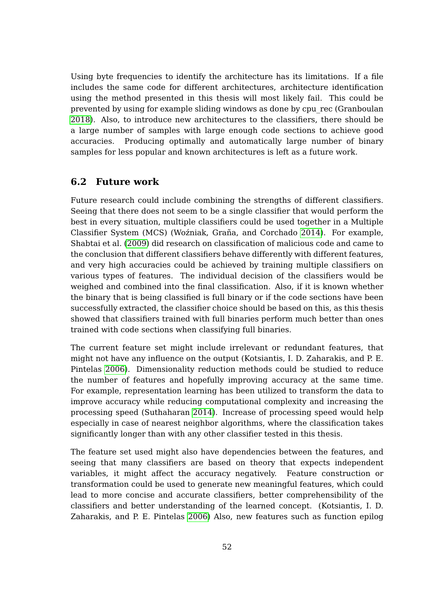Using byte frequencies to identify the architecture has its limitations. If a file includes the same code for different architectures, architecture identification using the method presented in this thesis will most likely fail. This could be prevented by using for example sliding windows as done by cpu\_rec (Granboulan [2018\)](#page-65-4). Also, to introduce new architectures to the classifiers, there should be a large number of samples with large enough code sections to achieve good accuracies. Producing optimally and automatically large number of binary samples for less popular and known architectures is left as a future work.

#### **6.2 Future work**

Future research could include combining the strengths of different classifiers. Seeing that there does not seem to be a single classifier that would perform the best in every situation, multiple classifiers could be used together in a Multiple Classifier System (MCS) (Woźniak, Graña, and Corchado [2014\)](#page-70-0). For example, Shabtai et al. [\(2009\)](#page-68-2) did research on classification of malicious code and came to the conclusion that different classifiers behave differently with different features, and very high accuracies could be achieved by training multiple classifiers on various types of features. The individual decision of the classifiers would be weighed and combined into the final classification. Also, if it is known whether the binary that is being classified is full binary or if the code sections have been successfully extracted, the classifier choice should be based on this, as this thesis showed that classifiers trained with full binaries perform much better than ones trained with code sections when classifying full binaries.

The current feature set might include irrelevant or redundant features, that might not have any influence on the output (Kotsiantis, I. D. Zaharakis, and P. E. Pintelas [2006\)](#page-66-2). Dimensionality reduction methods could be studied to reduce the number of features and hopefully improving accuracy at the same time. For example, representation learning has been utilized to transform the data to improve accuracy while reducing computational complexity and increasing the processing speed (Suthaharan [2014\)](#page-69-3). Increase of processing speed would help especially in case of nearest neighbor algorithms, where the classification takes significantly longer than with any other classifier tested in this thesis.

The feature set used might also have dependencies between the features, and seeing that many classifiers are based on theory that expects independent variables, it might affect the accuracy negatively. Feature construction or transformation could be used to generate new meaningful features, which could lead to more concise and accurate classifiers, better comprehensibility of the classifiers and better understanding of the learned concept. (Kotsiantis, I. D. Zaharakis, and P. E. Pintelas [2006\)](#page-66-2) Also, new features such as function epilog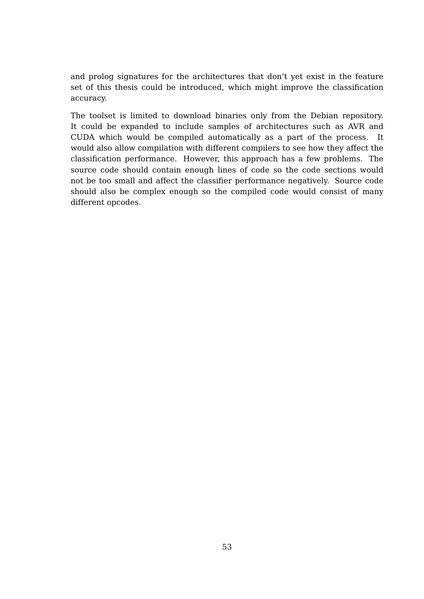and prolog signatures for the architectures that don't yet exist in the feature set of this thesis could be introduced, which might improve the classification accuracy.

The toolset is limited to download binaries only from the Debian repository. It could be expanded to include samples of architectures such as AVR and CUDA which would be compiled automatically as a part of the process. It would also allow compilation with different compilers to see how they affect the classification performance. However, this approach has a few problems. The source code should contain enough lines of code so the code sections would not be too small and affect the classifier performance negatively. Source code should also be complex enough so the compiled code would consist of many different opcodes.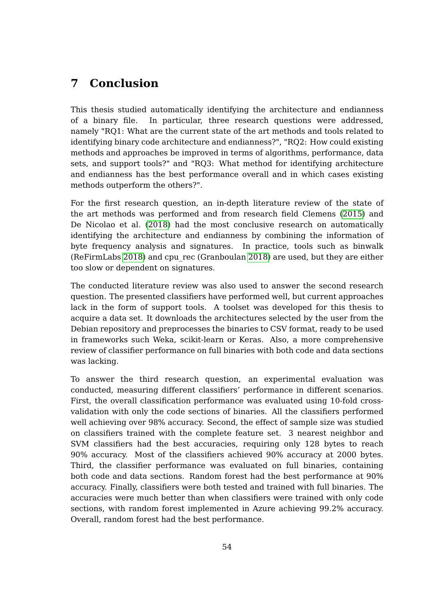## **7 Conclusion**

This thesis studied automatically identifying the architecture and endianness of a binary file. In particular, three research questions were addressed, namely "RQ1: What are the current state of the art methods and tools related to identifying binary code architecture and endianness?", "RQ2: How could existing methods and approaches be improved in terms of algorithms, performance, data sets, and support tools?" and "RQ3: What method for identifying architecture and endianness has the best performance overall and in which cases existing methods outperform the others?".

For the first research question, an in-depth literature review of the state of the art methods was performed and from research field Clemens [\(2015\)](#page-63-0) and De Nicolao et al. [\(2018\)](#page-63-1) had the most conclusive research on automatically identifying the architecture and endianness by combining the information of byte frequency analysis and signatures. In practice, tools such as binwalk (ReFirmLabs [2018\)](#page-67-3) and cpu\_rec (Granboulan [2018\)](#page-65-4) are used, but they are either too slow or dependent on signatures.

The conducted literature review was also used to answer the second research question. The presented classifiers have performed well, but current approaches lack in the form of support tools. A toolset was developed for this thesis to acquire a data set. It downloads the architectures selected by the user from the Debian repository and preprocesses the binaries to CSV format, ready to be used in frameworks such Weka, scikit-learn or Keras. Also, a more comprehensive review of classifier performance on full binaries with both code and data sections was lacking.

To answer the third research question, an experimental evaluation was conducted, measuring different classifiers' performance in different scenarios. First, the overall classification performance was evaluated using 10-fold crossvalidation with only the code sections of binaries. All the classifiers performed well achieving over 98% accuracy. Second, the effect of sample size was studied on classifiers trained with the complete feature set. 3 nearest neighbor and SVM classifiers had the best accuracies, requiring only 128 bytes to reach 90% accuracy. Most of the classifiers achieved 90% accuracy at 2000 bytes. Third, the classifier performance was evaluated on full binaries, containing both code and data sections. Random forest had the best performance at 90% accuracy. Finally, classifiers were both tested and trained with full binaries. The accuracies were much better than when classifiers were trained with only code sections, with random forest implemented in Azure achieving 99.2% accuracy. Overall, random forest had the best performance.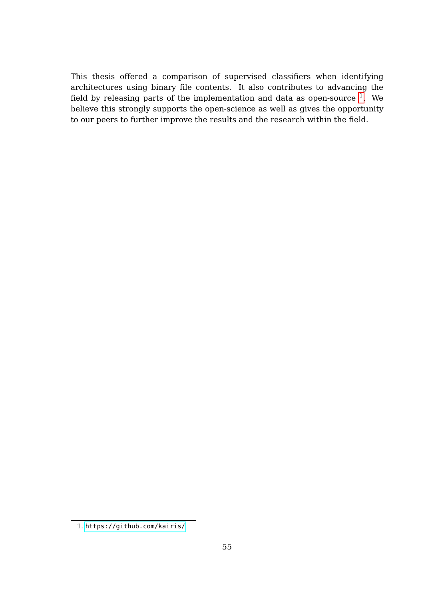This thesis offered a comparison of supervised classifiers when identifying architectures using binary file contents. It also contributes to advancing the field by releasing parts of the implementation and data as open-source  $^1$  $^1$ . We believe this strongly supports the open-science as well as gives the opportunity to our peers to further improve the results and the research within the field.

<span id="page-61-0"></span><sup>1.</sup> <https://github.com/kairis/>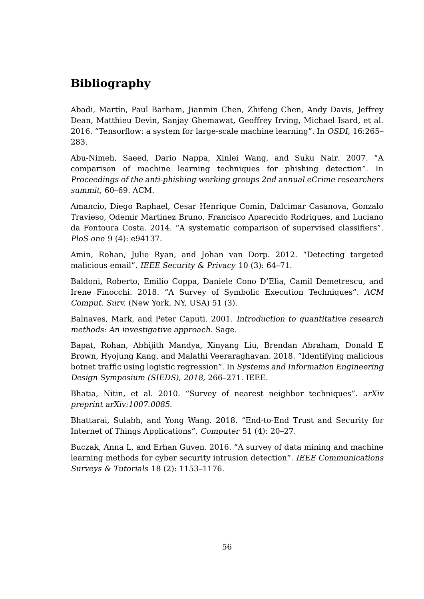# **Bibliography**

Abadi, Martín, Paul Barham, Jianmin Chen, Zhifeng Chen, Andy Davis, Jeffrey Dean, Matthieu Devin, Sanjay Ghemawat, Geoffrey Irving, Michael Isard, et al. 2016. "Tensorflow: a system for large-scale machine learning". In OSDI, 16:265– 283.

<span id="page-62-0"></span>Abu-Nimeh, Saeed, Dario Nappa, Xinlei Wang, and Suku Nair. 2007. "A comparison of machine learning techniques for phishing detection". In Proceedings of the anti-phishing working groups 2nd annual eCrime researchers summit, 60–69. ACM.

<span id="page-62-1"></span>Amancio, Diego Raphael, Cesar Henrique Comin, Dalcimar Casanova, Gonzalo Travieso, Odemir Martinez Bruno, Francisco Aparecido Rodrigues, and Luciano da Fontoura Costa. 2014. "A systematic comparison of supervised classifiers". PloS one 9 (4): e94137.

Amin, Rohan, Julie Ryan, and Johan van Dorp. 2012. "Detecting targeted malicious email". IEEE Security & Privacy 10 (3): 64-71.

Baldoni, Roberto, Emilio Coppa, Daniele Cono D'Elia, Camil Demetrescu, and Irene Finocchi. 2018. "A Survey of Symbolic Execution Techniques". ACM Comput. Surv. (New York, NY, USA) 51 (3).

<span id="page-62-3"></span>Balnaves, Mark, and Peter Caputi. 2001. Introduction to quantitative research methods: An investigative approach. Sage.

<span id="page-62-2"></span>Bapat, Rohan, Abhijith Mandya, Xinyang Liu, Brendan Abraham, Donald E Brown, Hyojung Kang, and Malathi Veeraraghavan. 2018. "Identifying malicious botnet traffic using logistic regression". In Systems and Information Engineering Design Symposium (SIEDS), 2018, 266–271. IEEE.

Bhatia, Nitin, et al. 2010. "Survey of nearest neighbor techniques". arXiv preprint arXiv:1007.0085.

Bhattarai, Sulabh, and Yong Wang. 2018. "End-to-End Trust and Security for Internet of Things Applications". Computer 51 (4): 20–27.

Buczak, Anna L, and Erhan Guven. 2016. "A survey of data mining and machine learning methods for cyber security intrusion detection". IEEE Communications Surveys & Tutorials 18 (2): 1153–1176.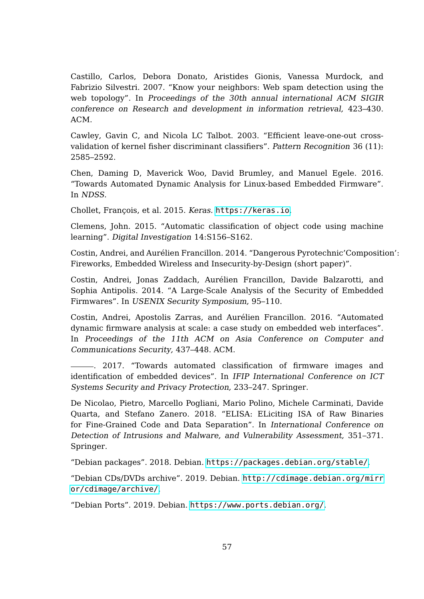Castillo, Carlos, Debora Donato, Aristides Gionis, Vanessa Murdock, and Fabrizio Silvestri. 2007. "Know your neighbors: Web spam detection using the web topology". In Proceedings of the 30th annual international ACM SIGIR conference on Research and development in information retrieval, 423–430. ACM.

Cawley, Gavin C, and Nicola LC Talbot. 2003. "Efficient leave-one-out crossvalidation of kernel fisher discriminant classifiers". Pattern Recognition 36 (11): 2585–2592.

Chen, Daming D, Maverick Woo, David Brumley, and Manuel Egele. 2016. "Towards Automated Dynamic Analysis for Linux-based Embedded Firmware". In NDSS.

<span id="page-63-2"></span>Chollet, François, et al. 2015. Keras. <https://keras.io>.

<span id="page-63-0"></span>Clemens, John. 2015. "Automatic classification of object code using machine learning". Digital Investigation 14:S156–S162.

Costin, Andrei, and Aurélien Francillon. 2014. "Dangerous Pyrotechnic'Composition': Fireworks, Embedded Wireless and Insecurity-by-Design (short paper)".

Costin, Andrei, Jonas Zaddach, Aurélien Francillon, Davide Balzarotti, and Sophia Antipolis. 2014. "A Large-Scale Analysis of the Security of Embedded Firmwares". In USENIX Security Symposium, 95–110.

Costin, Andrei, Apostolis Zarras, and Aurélien Francillon. 2016. "Automated dynamic firmware analysis at scale: a case study on embedded web interfaces". In Proceedings of the 11th ACM on Asia Conference on Computer and Communications Security, 437–448. ACM.

. 2017. "Towards automated classification of firmware images and identification of embedded devices". In IFIP International Conference on ICT Systems Security and Privacy Protection, 233–247. Springer.

<span id="page-63-1"></span>De Nicolao, Pietro, Marcello Pogliani, Mario Polino, Michele Carminati, Davide Quarta, and Stefano Zanero. 2018. "ELISA: ELiciting ISA of Raw Binaries for Fine-Grained Code and Data Separation". In International Conference on Detection of Intrusions and Malware, and Vulnerability Assessment, 351–371. Springer.

"Debian packages". 2018. Debian. <https://packages.debian.org/stable/>.

"Debian CDs/DVDs archive". 2019. Debian. [http://cdimage.debian.org/mirr](http://cdimage.debian.org/mirror/cdimage/archive/) [or/cdimage/archive/](http://cdimage.debian.org/mirror/cdimage/archive/).

"Debian Ports". 2019. Debian. <https://www.ports.debian.org/>.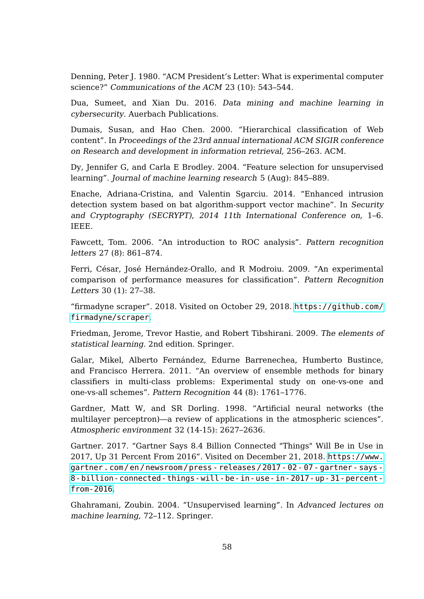<span id="page-64-3"></span>Denning, Peter J. 1980. "ACM President's Letter: What is experimental computer science?" Communications of the ACM 23 (10): 543–544.

<span id="page-64-1"></span>Dua, Sumeet, and Xian Du. 2016. Data mining and machine learning in cybersecurity. Auerbach Publications.

Dumais, Susan, and Hao Chen. 2000. "Hierarchical classification of Web content". In Proceedings of the 23rd annual international ACM SIGIR conference on Research and development in information retrieval, 256–263. ACM.

Dy, Jennifer G, and Carla E Brodley. 2004. "Feature selection for unsupervised learning". Journal of machine learning research 5 (Aug): 845–889.

<span id="page-64-2"></span>Enache, Adriana-Cristina, and Valentin Sgarciu. 2014. "Enhanced intrusion detection system based on bat algorithm-support vector machine". In Security and Cryptography (SECRYPT), 2014 11th International Conference on, 1–6. IEEE.

Fawcett, Tom. 2006. "An introduction to ROC analysis". Pattern recognition letters 27 (8): 861–874.

Ferri, César, José Hernández-Orallo, and R Modroiu. 2009. "An experimental comparison of performance measures for classification". Pattern Recognition Letters 30 (1): 27–38.

"firmadyne scraper". 2018. Visited on October 29, 2018. [https://github.com/](https://github.com/firmadyne/scraper) [firmadyne/scraper](https://github.com/firmadyne/scraper).

Friedman, Jerome, Trevor Hastie, and Robert Tibshirani. 2009. The elements of statistical learning. 2nd edition. Springer.

Galar, Mikel, Alberto Fernández, Edurne Barrenechea, Humberto Bustince, and Francisco Herrera. 2011. "An overview of ensemble methods for binary classifiers in multi-class problems: Experimental study on one-vs-one and one-vs-all schemes". Pattern Recognition 44 (8): 1761–1776.

<span id="page-64-0"></span>Gardner, Matt W, and SR Dorling. 1998. "Artificial neural networks (the multilayer perceptron)—a review of applications in the atmospheric sciences". Atmospheric environment 32 (14-15): 2627–2636.

Gartner. 2017. "Gartner Says 8.4 Billion Connected "Things" Will Be in Use in 2017, Up 31 Percent From 2016". Visited on December 21, 2018. [https://www.](https://www.gartner.com/en/newsroom/press-releases/2017-02-07-gartner-says-8-billion-connected-things-will-be-in-use-in-2017-up-31-percent-from-2016) [gartner . com / en / newsroom / press - releases / 2017 - 02 - 07 - gartner - says -](https://www.gartner.com/en/newsroom/press-releases/2017-02-07-gartner-says-8-billion-connected-things-will-be-in-use-in-2017-up-31-percent-from-2016) [8-billion-connected-things-will-be-in-use-in-2017-up-31-percent](https://www.gartner.com/en/newsroom/press-releases/2017-02-07-gartner-says-8-billion-connected-things-will-be-in-use-in-2017-up-31-percent-from-2016)[from-2016](https://www.gartner.com/en/newsroom/press-releases/2017-02-07-gartner-says-8-billion-connected-things-will-be-in-use-in-2017-up-31-percent-from-2016).

Ghahramani, Zoubin. 2004. "Unsupervised learning". In Advanced lectures on machine learning, 72–112. Springer.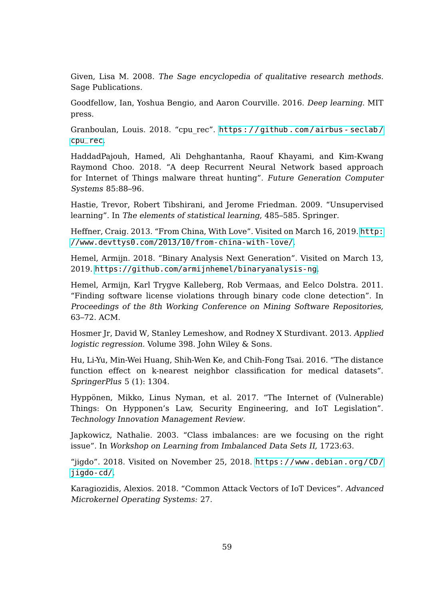<span id="page-65-2"></span>Given, Lisa M. 2008. The Sage encyclopedia of qualitative research methods. Sage Publications.

Goodfellow, Ian, Yoshua Bengio, and Aaron Courville. 2016. Deep learning. MIT press.

<span id="page-65-4"></span>Granboulan, Louis. 2018. "cpu rec". https://github.com/airbus - seclab/ [cpu\\_rec](https://github.com/airbus-seclab/cpu_rec).

<span id="page-65-1"></span>HaddadPajouh, Hamed, Ali Dehghantanha, Raouf Khayami, and Kim-Kwang Raymond Choo. 2018. "A deep Recurrent Neural Network based approach for Internet of Things malware threat hunting". Future Generation Computer Systems 85:88–96.

Hastie, Trevor, Robert Tibshirani, and Jerome Friedman. 2009. "Unsupervised learning". In The elements of statistical learning, 485–585. Springer.

Heffner, Craig. 2013. "From China, With Love". Visited on March 16, 2019. [http:](http://www.devttys0.com/2013/10/from-china-with-love/) [//www.devttys0.com/2013/10/from-china-with-love/](http://www.devttys0.com/2013/10/from-china-with-love/).

Hemel, Armijn. 2018. "Binary Analysis Next Generation". Visited on March 13, 2019. <https://github.com/armijnhemel/binaryanalysis-ng>.

Hemel, Armijn, Karl Trygve Kalleberg, Rob Vermaas, and Eelco Dolstra. 2011. "Finding software license violations through binary code clone detection". In Proceedings of the 8th Working Conference on Mining Software Repositories, 63–72. ACM.

<span id="page-65-0"></span>Hosmer Jr, David W, Stanley Lemeshow, and Rodney X Sturdivant. 2013. Applied logistic regression. Volume 398. John Wiley & Sons.

Hu, Li-Yu, Min-Wei Huang, Shih-Wen Ke, and Chih-Fong Tsai. 2016. "The distance function effect on k-nearest neighbor classification for medical datasets". SpringerPlus 5 (1): 1304.

Hyppönen, Mikko, Linus Nyman, et al. 2017. "The Internet of (Vulnerable) Things: On Hypponen's Law, Security Engineering, and IoT Legislation". Technology Innovation Management Review.

<span id="page-65-3"></span>Japkowicz, Nathalie. 2003. "Class imbalances: are we focusing on the right issue". In Workshop on Learning from Imbalanced Data Sets II, 1723:63.

"jigdo". 2018. Visited on November 25, 2018. [https://www.debian.org/CD/](https://www.debian.org/CD/jigdo-cd/) [jigdo-cd/](https://www.debian.org/CD/jigdo-cd/).

Karagiozidis, Alexios. 2018. "Common Attack Vectors of IoT Devices". Advanced Microkernel Operating Systems: 27.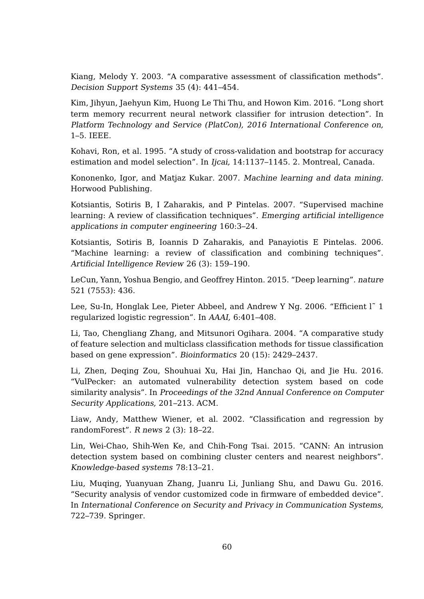Kiang, Melody Y. 2003. "A comparative assessment of classification methods". Decision Support Systems 35 (4): 441–454.

<span id="page-66-1"></span>Kim, Jihyun, Jaehyun Kim, Huong Le Thi Thu, and Howon Kim. 2016. "Long short term memory recurrent neural network classifier for intrusion detection". In Platform Technology and Service (PlatCon), 2016 International Conference on, 1–5. IEEE.

Kohavi, Ron, et al. 1995. "A study of cross-validation and bootstrap for accuracy estimation and model selection". In Ijcai, 14:1137–1145. 2. Montreal, Canada.

<span id="page-66-0"></span>Kononenko, Igor, and Matjaz Kukar. 2007. Machine learning and data mining. Horwood Publishing.

Kotsiantis, Sotiris B, I Zaharakis, and P Pintelas. 2007. "Supervised machine learning: A review of classification techniques". Emerging artificial intelligence applications in computer engineering 160:3–24.

<span id="page-66-2"></span>Kotsiantis, Sotiris B, Ioannis D Zaharakis, and Panayiotis E Pintelas. 2006. "Machine learning: a review of classification and combining techniques". Artificial Intelligence Review 26 (3): 159–190.

LeCun, Yann, Yoshua Bengio, and Geoffrey Hinton. 2015. "Deep learning". nature 521 (7553): 436.

Lee, Su-In, Honglak Lee, Pieter Abbeel, and Andrew Y Ng. 2006. "Efficient l˜ 1 regularized logistic regression". In AAAI, 6:401–408.

Li, Tao, Chengliang Zhang, and Mitsunori Ogihara. 2004. "A comparative study of feature selection and multiclass classification methods for tissue classification based on gene expression". Bioinformatics 20 (15): 2429–2437.

Li, Zhen, Deqing Zou, Shouhuai Xu, Hai Jin, Hanchao Qi, and Jie Hu. 2016. "VulPecker: an automated vulnerability detection system based on code similarity analysis". In Proceedings of the 32nd Annual Conference on Computer Security Applications, 201–213. ACM.

Liaw, Andy, Matthew Wiener, et al. 2002. "Classification and regression by randomForest". R news 2 (3): 18–22.

Lin, Wei-Chao, Shih-Wen Ke, and Chih-Fong Tsai. 2015. "CANN: An intrusion detection system based on combining cluster centers and nearest neighbors". Knowledge-based systems 78:13–21.

Liu, Muqing, Yuanyuan Zhang, Juanru Li, Junliang Shu, and Dawu Gu. 2016. "Security analysis of vendor customized code in firmware of embedded device". In International Conference on Security and Privacy in Communication Systems, 722–739. Springer.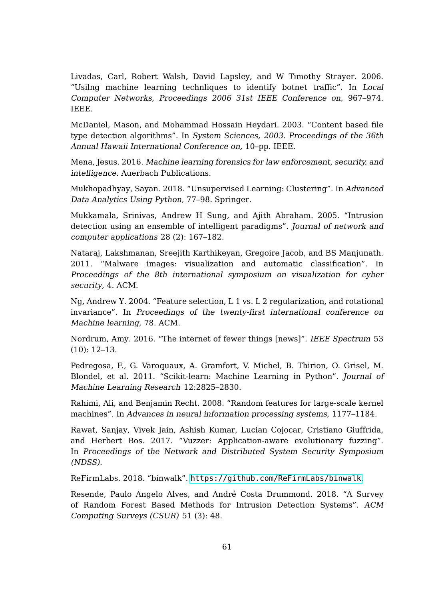Livadas, Carl, Robert Walsh, David Lapsley, and W Timothy Strayer. 2006. "Usilng machine learning technliques to identify botnet traffic". In Local Computer Networks, Proceedings 2006 31st IEEE Conference on, 967–974. IEEE.

McDaniel, Mason, and Mohammad Hossain Heydari. 2003. "Content based file type detection algorithms". In System Sciences, 2003. Proceedings of the 36th Annual Hawaii International Conference on, 10–pp. IEEE.

Mena, Jesus. 2016. Machine learning forensics for law enforcement, security, and intelligence. Auerbach Publications.

Mukhopadhyay, Sayan. 2018. "Unsupervised Learning: Clustering". In Advanced Data Analytics Using Python, 77–98. Springer.

<span id="page-67-1"></span>Mukkamala, Srinivas, Andrew H Sung, and Ajith Abraham. 2005. "Intrusion detection using an ensemble of intelligent paradigms". Journal of network and computer applications 28 (2): 167–182.

Nataraj, Lakshmanan, Sreejith Karthikeyan, Gregoire Jacob, and BS Manjunath. 2011. "Malware images: visualization and automatic classification". In Proceedings of the 8th international symposium on visualization for cyber security, 4. ACM.

Ng, Andrew Y. 2004. "Feature selection, L 1 vs. L 2 regularization, and rotational invariance". In Proceedings of the twenty-first international conference on Machine learning, 78. ACM.

Nordrum, Amy. 2016. "The internet of fewer things [news]". IEEE Spectrum 53 (10): 12–13.

<span id="page-67-2"></span>Pedregosa, F., G. Varoquaux, A. Gramfort, V. Michel, B. Thirion, O. Grisel, M. Blondel, et al. 2011. "Scikit-learn: Machine Learning in Python". Journal of Machine Learning Research 12:2825–2830.

Rahimi, Ali, and Benjamin Recht. 2008. "Random features for large-scale kernel machines". In Advances in neural information processing systems, 1177–1184.

Rawat, Sanjay, Vivek Jain, Ashish Kumar, Lucian Cojocar, Cristiano Giuffrida, and Herbert Bos. 2017. "Vuzzer: Application-aware evolutionary fuzzing". In Proceedings of the Network and Distributed System Security Symposium (NDSS).

<span id="page-67-3"></span>ReFirmLabs. 2018. "binwalk". <https://github.com/ReFirmLabs/binwalk>.

<span id="page-67-0"></span>Resende, Paulo Angelo Alves, and André Costa Drummond. 2018. "A Survey of Random Forest Based Methods for Intrusion Detection Systems". ACM Computing Surveys (CSUR) 51 (3): 48.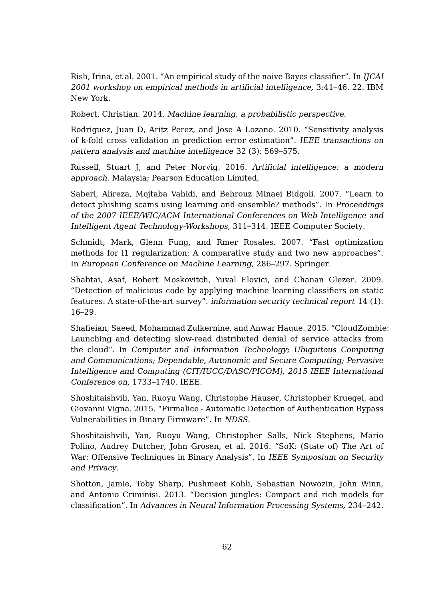Rish, Irina, et al. 2001. "An empirical study of the naive Bayes classifier". In IJCAI 2001 workshop on empirical methods in artificial intelligence, 3:41–46. 22. IBM New York.

Robert, Christian. 2014. Machine learning, a probabilistic perspective.

Rodriguez, Juan D, Aritz Perez, and Jose A Lozano. 2010. "Sensitivity analysis of k-fold cross validation in prediction error estimation". IEEE transactions on pattern analysis and machine intelligence 32 (3): 569–575.

Russell, Stuart J, and Peter Norvig. 2016. Artificial intelligence: a modern approach. Malaysia; Pearson Education Limited,

Saberi, Alireza, Mojtaba Vahidi, and Behrouz Minaei Bidgoli. 2007. "Learn to detect phishing scams using learning and ensemble? methods". In Proceedings of the 2007 IEEE/WIC/ACM International Conferences on Web Intelligence and Intelligent Agent Technology-Workshops, 311–314. IEEE Computer Society.

Schmidt, Mark, Glenn Fung, and Rmer Rosales. 2007. "Fast optimization methods for l1 regularization: A comparative study and two new approaches". In European Conference on Machine Learning, 286–297. Springer.

<span id="page-68-2"></span>Shabtai, Asaf, Robert Moskovitch, Yuval Elovici, and Chanan Glezer. 2009. "Detection of malicious code by applying machine learning classifiers on static features: A state-of-the-art survey". information security technical report 14 (1): 16–29.

<span id="page-68-0"></span>Shafieian, Saeed, Mohammad Zulkernine, and Anwar Haque. 2015. "CloudZombie: Launching and detecting slow-read distributed denial of service attacks from the cloud". In Computer and Information Technology; Ubiquitous Computing and Communications; Dependable, Autonomic and Secure Computing; Pervasive Intelligence and Computing (CIT/IUCC/DASC/PICOM), 2015 IEEE International Conference on, 1733–1740. IEEE.

Shoshitaishvili, Yan, Ruoyu Wang, Christophe Hauser, Christopher Kruegel, and Giovanni Vigna. 2015. "Firmalice - Automatic Detection of Authentication Bypass Vulnerabilities in Binary Firmware". In NDSS.

<span id="page-68-1"></span>Shoshitaishvili, Yan, Ruoyu Wang, Christopher Salls, Nick Stephens, Mario Polino, Audrey Dutcher, John Grosen, et al. 2016. "SoK: (State of) The Art of War: Offensive Techniques in Binary Analysis". In IEEE Symposium on Security and Privacy.

Shotton, Jamie, Toby Sharp, Pushmeet Kohli, Sebastian Nowozin, John Winn, and Antonio Criminisi. 2013. "Decision jungles: Compact and rich models for classification". In Advances in Neural Information Processing Systems, 234–242.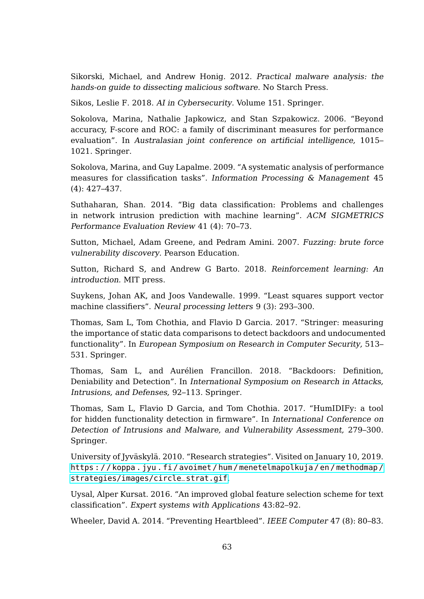Sikorski, Michael, and Andrew Honig. 2012. Practical malware analysis: the hands-on guide to dissecting malicious software. No Starch Press.

<span id="page-69-1"></span>Sikos, Leslie F. 2018. AI in Cybersecurity. Volume 151. Springer.

Sokolova, Marina, Nathalie Japkowicz, and Stan Szpakowicz. 2006. "Beyond accuracy, F-score and ROC: a family of discriminant measures for performance evaluation". In Australasian joint conference on artificial intelligence, 1015– 1021. Springer.

Sokolova, Marina, and Guy Lapalme. 2009. "A systematic analysis of performance measures for classification tasks". Information Processing & Management 45 (4): 427–437.

<span id="page-69-3"></span>Suthaharan, Shan. 2014. "Big data classification: Problems and challenges in network intrusion prediction with machine learning". ACM SIGMETRICS Performance Evaluation Review 41 (4): 70–73.

Sutton, Michael, Adam Greene, and Pedram Amini. 2007. Fuzzing: brute force vulnerability discovery. Pearson Education.

Sutton, Richard S, and Andrew G Barto. 2018. Reinforcement learning: An introduction. MIT press.

<span id="page-69-0"></span>Suykens, Johan AK, and Joos Vandewalle. 1999. "Least squares support vector machine classifiers". Neural processing letters 9 (3): 293–300.

Thomas, Sam L, Tom Chothia, and Flavio D Garcia. 2017. "Stringer: measuring the importance of static data comparisons to detect backdoors and undocumented functionality". In European Symposium on Research in Computer Security, 513– 531. Springer.

Thomas, Sam L, and Aurélien Francillon. 2018. "Backdoors: Definition, Deniability and Detection". In International Symposium on Research in Attacks, Intrusions, and Defenses, 92–113. Springer.

Thomas, Sam L, Flavio D Garcia, and Tom Chothia. 2017. "HumIDIFy: a tool for hidden functionality detection in firmware". In International Conference on Detection of Intrusions and Malware, and Vulnerability Assessment, 279–300. Springer.

<span id="page-69-2"></span>University of Jyväskylä. 2010. "Research strategies". Visited on January 10, 2019. [https : / / koppa . jyu . fi / avoimet / hum / menetelmapolkuja / en / methodmap /](https://koppa.jyu.fi/avoimet/hum/menetelmapolkuja/en/methodmap/strategies/images/circle_strat.gif) [strategies/images/circle\\_strat.gif](https://koppa.jyu.fi/avoimet/hum/menetelmapolkuja/en/methodmap/strategies/images/circle_strat.gif).

Uysal, Alper Kursat. 2016. "An improved global feature selection scheme for text classification". Expert systems with Applications 43:82–92.

Wheeler, David A. 2014. "Preventing Heartbleed". IEEE Computer 47 (8): 80–83.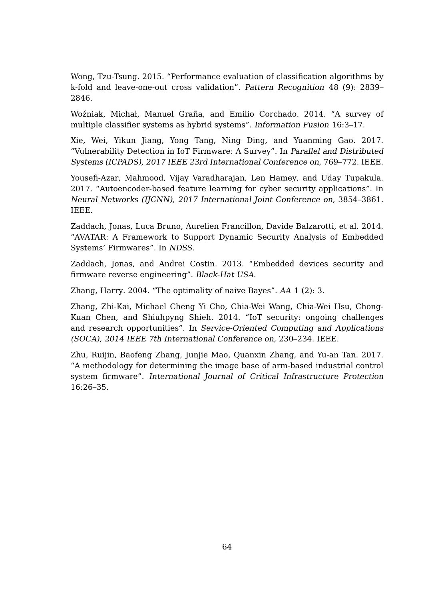Wong, Tzu-Tsung. 2015. "Performance evaluation of classification algorithms by k-fold and leave-one-out cross validation". Pattern Recognition 48 (9): 2839– 2846.

<span id="page-70-0"></span>Woźniak, Michał, Manuel Graña, and Emilio Corchado. 2014. "A survey of multiple classifier systems as hybrid systems". Information Fusion 16:3–17.

Xie, Wei, Yikun Jiang, Yong Tang, Ning Ding, and Yuanming Gao. 2017. "Vulnerability Detection in IoT Firmware: A Survey". In Parallel and Distributed Systems (ICPADS), 2017 IEEE 23rd International Conference on, 769–772. IEEE.

Yousefi-Azar, Mahmood, Vijay Varadharajan, Len Hamey, and Uday Tupakula. 2017. "Autoencoder-based feature learning for cyber security applications". In Neural Networks (IJCNN), 2017 International Joint Conference on, 3854–3861. IEEE.

Zaddach, Jonas, Luca Bruno, Aurelien Francillon, Davide Balzarotti, et al. 2014. "AVATAR: A Framework to Support Dynamic Security Analysis of Embedded Systems' Firmwares". In NDSS.

Zaddach, Jonas, and Andrei Costin. 2013. "Embedded devices security and firmware reverse engineering". Black-Hat USA.

Zhang, Harry. 2004. "The optimality of naive Bayes". AA 1 (2): 3.

Zhang, Zhi-Kai, Michael Cheng Yi Cho, Chia-Wei Wang, Chia-Wei Hsu, Chong-Kuan Chen, and Shiuhpyng Shieh. 2014. "IoT security: ongoing challenges and research opportunities". In Service-Oriented Computing and Applications (SOCA), 2014 IEEE 7th International Conference on, 230–234. IEEE.

Zhu, Ruijin, Baofeng Zhang, Junjie Mao, Quanxin Zhang, and Yu-an Tan. 2017. "A methodology for determining the image base of arm-based industrial control system firmware". International Journal of Critical Infrastructure Protection 16:26–35.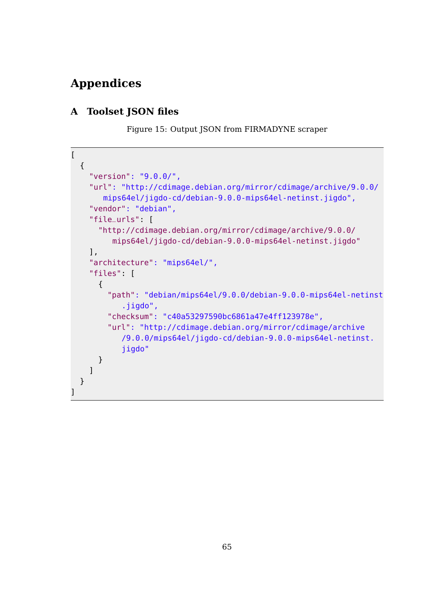# **Appendices**

### **A Toolset JSON files**

Figure 15: Output JSON from FIRMADYNE scraper

```
\overline{ }{
    "version": "9.0.0/",
    "url": "http://cdimage.debian.org/mirror/cdimage/archive/9.0.0/
       mips64el/jigdo-cd/debian-9.0.0-mips64el-netinst.jigdo",
    "vendor": "debian",
    "file_urls": [
      "http://cdimage.debian.org/mirror/cdimage/archive/9.0.0/
         mips64el/jigdo-cd/debian-9.0.0-mips64el-netinst.jigdo"
    ],
    "architecture": "mips64el/",
    "files": [
      {
        "path": "debian/mips64el/9.0.0/debian-9.0.0-mips64el-netinst
           .jigdo",
        "checksum": "c40a53297590bc6861a47e4ff123978e",
        "url": "http://cdimage.debian.org/mirror/cdimage/archive
           /9.0.0/mips64el/jigdo-cd/debian-9.0.0-mips64el-netinst.
           jigdo"
      }
    ]
 }
]
```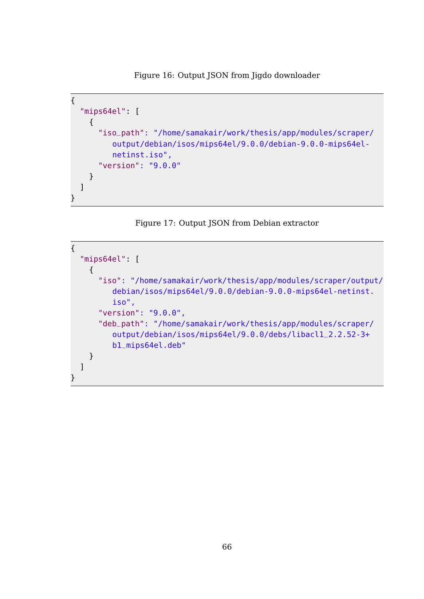Figure 16: Output JSON from Jigdo downloader

```
{
  "mips64el": [
    {
      "iso_path": "/home/samakair/work/thesis/app/modules/scraper/
         output/debian/isos/mips64el/9.0.0/debian-9.0.0-mips64el-
         netinst.iso",
      "version": "9.0.0"
    }
  ]
}
```


```
{
  "mips64el": [
    {
      "iso": "/home/samakair/work/thesis/app/modules/scraper/output/
         debian/isos/mips64el/9.0.0/debian-9.0.0-mips64el-netinst.
         iso",
      "version": "9.0.0",
      "deb_path": "/home/samakair/work/thesis/app/modules/scraper/
         output/debian/isos/mips64el/9.0.0/debs/libacl1_2.2.52-3+
         b1_mips64el.deb"
    }
 ]
}
```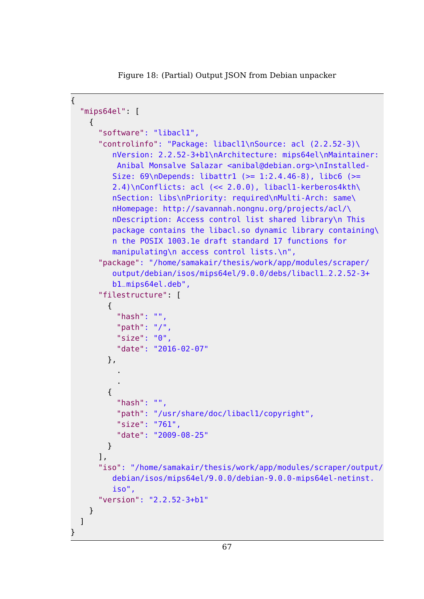Figure 18: (Partial) Output JSON from Debian unpacker

```
{
  "mips64el": [
    {
      "software": "libacl1",
      "controlinfo": "Package: libacl1\nSource: acl (2.2.52-3)\
         nVersion: 2.2.52-3+b1\nArchitecture: mips64el\nMaintainer:
          Anibal Monsalve Salazar <anibal@debian.org>\nInstalled-
         Size: 69\nPepends: <math>libattr1 (= 1:2.4.46-8)</math>, <math>libc6 (=</math>2.4)\nConflicts: acl (<< 2.0.0), libacl1-kerberos4kth\
         nSection: libs\nPriority: required\nMulti-Arch: same\
         nHomepage: http://savannah.nongnu.org/projects/acl/\
         nDescription: Access control list shared library\n This
         package contains the libacl.so dynamic library containing\
         n the POSIX 1003.1e draft standard 17 functions for
         manipulating\n access control lists.\n",
      "package": "/home/samakair/thesis/work/app/modules/scraper/
         output/debian/isos/mips64el/9.0.0/debs/libacl1_2.2.52-3+
         b1_mips64el.deb",
      "filestructure": [
        {
          "hash": "",
          "path": "/",
          "size": "0",
          "date": "2016-02-07"
        },
          .
          .
        {
          "hash": "",
          "path": "/usr/share/doc/libacl1/copyright",
          "size": "761",
          "date": "2009-08-25"
        }
      ],
      "iso": "/home/samakair/thesis/work/app/modules/scraper/output/
         debian/isos/mips64el/9.0.0/debian-9.0.0-mips64el-netinst.
         iso",
      "version": "2.2.52-3+b1"
    }
 ]
}
```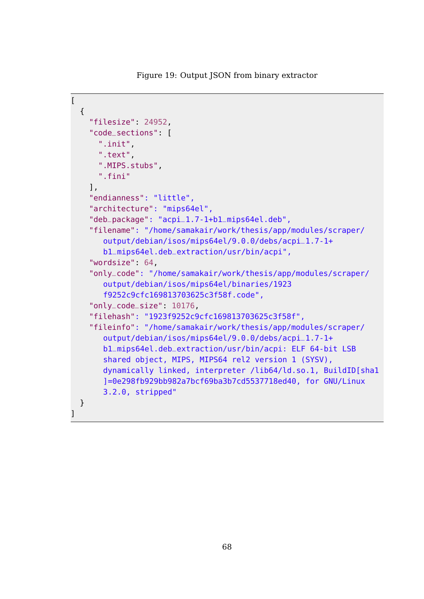Figure 19: Output JSON from binary extractor

```
\overline{[}{
    "filesize": 24952,
    "code_sections": [
      ".init",
      ".text",
      ".MIPS.stubs",
      ".fini"
    ],
    "endianness": "little",
    "architecture": "mips64el",
    "deb_package": "acpi_1.7-1+b1_mips64el.deb",
    "filename": "/home/samakair/work/thesis/app/modules/scraper/
       output/debian/isos/mips64el/9.0.0/debs/acpi_1.7-1+
       b1_mips64el.deb_extraction/usr/bin/acpi",
    "wordsize": 64,
    "only_code": "/home/samakair/work/thesis/app/modules/scraper/
       output/debian/isos/mips64el/binaries/1923
       f9252c9cfc169813703625c3f58f.code",
    "only_code_size": 10176,
    "filehash": "1923f9252c9cfc169813703625c3f58f",
    "fileinfo": "/home/samakair/work/thesis/app/modules/scraper/
       output/debian/isos/mips64el/9.0.0/debs/acpi_1.7-1+
       b1_mips64el.deb_extraction/usr/bin/acpi: ELF 64-bit LSB
       shared object, MIPS, MIPS64 rel2 version 1 (SYSV),
       dynamically linked, interpreter /lib64/ld.so.1, BuildID[sha1
       ]=0e298fb929bb982a7bcf69ba3b7cd5537718ed40, for GNU/Linux
       3.2.0, stripped"
 }
```
 $\mathbf{l}$